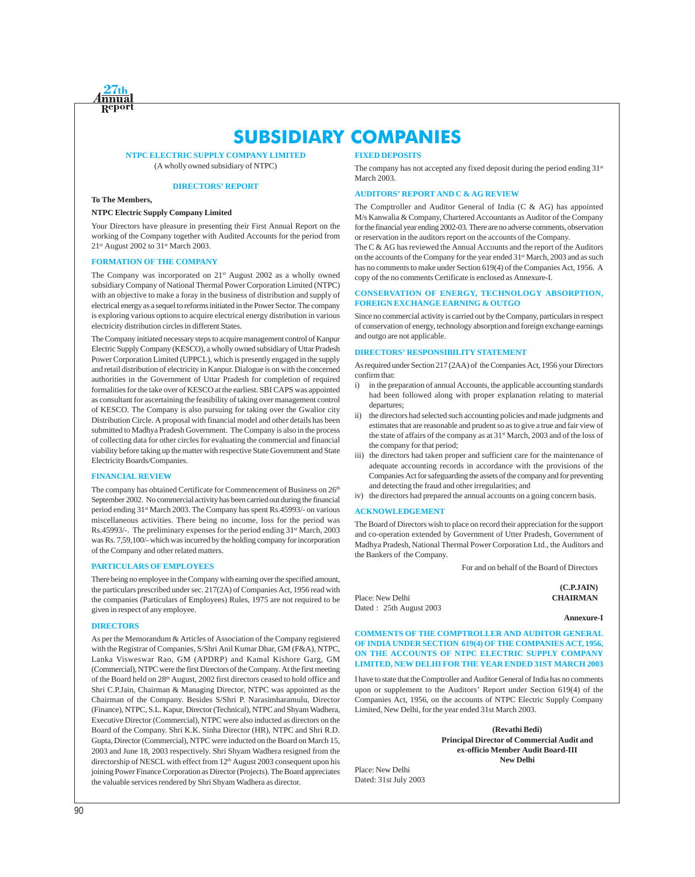

# **SUBSIDIARY COMPANIES**

**NTPC ELECTRIC SUPPLY COMPANY LIMITED** (A wholly owned subsidiary of NTPC)

#### **DIRECTORS' REPORT**

## **To The Members,**

#### **NTPC Electric Supply Company Limited**

Your Directors have pleasure in presenting their First Annual Report on the working of the Company together with Audited Accounts for the period from 21st August 2002 to 31st March 2003.

#### **FORMATION OF THE COMPANY**

The Company was incorporated on 21<sup>st</sup> August 2002 as a wholly owned subsidiary Company of National Thermal Power Corporation Limited (NTPC) with an objective to make a foray in the business of distribution and supply of electrical energy as a sequel to reforms initiated in the Power Sector. The company is exploring various options to acquire electrical energy distribution in various electricity distribution circles in different States.

The Company initiated necessary steps to acquire management control of Kanpur Electric Supply Company (KESCO), a wholly owned subsidiary of Uttar Pradesh Power Corporation Limited (UPPCL), which is presently engaged in the supply and retail distribution of electricity in Kanpur. Dialogue is on with the concerned authorities in the Government of Uttar Pradesh for completion of required formalities for the take over of KESCO at the earliest. SBI CAPS was appointed as consultant for ascertaining the feasibility of taking over management control of KESCO. The Company is also pursuing for taking over the Gwalior city Distribution Circle. A proposal with financial model and other details has been submitted to Madhya Pradesh Government. The Company is also in the process of collecting data for other circles for evaluating the commercial and financial viability before taking up the matter with respective State Government and State Electricity Boards/Companies.

#### **FINANCIAL REVIEW**

The company has obtained Certificate for Commencement of Business on 26<sup>th</sup> September 2002. No commercial activity has been carried out during the financial period ending 31<sup>st</sup> March 2003. The Company has spent Rs.45993/- on various miscellaneous activities. There being no income, loss for the period was Rs.45993/-. The preliminary expenses for the period ending 31<sup>st</sup> March, 2003 was Rs. 7,59,100/- which was incurred by the holding company for incorporation of the Company and other related matters.

#### **PARTICULARS OF EMPLOYEES**

There being no employee in the Company with earning over the specified amount, the particulars prescribed under sec. 217(2A) of Companies Act, 1956 read with the companies (Particulars of Employees) Rules, 1975 are not required to be given in respect of any employee.

#### **DIRECTORS**

As per the Memorandum & Articles of Association of the Company registered with the Registrar of Companies, S/Shri Anil Kumar Dhar, GM (F&A), NTPC, Lanka Visweswar Rao, GM (APDRP) and Kamal Kishore Garg, GM (Commercial), NTPC were the first Directors of the Company. At the first meeting of the Board held on 28<sup>th</sup> August, 2002 first directors ceased to hold office and Shri C.P.Jain, Chairman & Managing Director, NTPC was appointed as the Chairman of the Company. Besides S/Shri P. Narasimharamulu, Director (Finance), NTPC, S.L. Kapur, Director (Technical), NTPC and Shyam Wadhera, Executive Director (Commercial), NTPC were also inducted as directors on the Board of the Company. Shri K.K. Sinha Director (HR), NTPC and Shri R.D. Gupta, Director (Commercial), NTPC were inducted on the Board on March 15, 2003 and June 18, 2003 respectively. Shri Shyam Wadhera resigned from the directorship of NESCL with effect from 12<sup>th</sup> August 2003 consequent upon his joining Power Finance Corporation as Director (Projects). The Board appreciates the valuable services rendered by Shri Shyam Wadhera as director.

#### **FIXED DEPOSITS**

The company has not accepted any fixed deposit during the period ending 31<sup>st</sup> March 2003.

#### **AUDITORS' REPORT AND C & AG REVIEW**

The Comptroller and Auditor General of India (C & AG) has appointed M/s Kanwalia & Company, Chartered Accountants as Auditor of the Company for the financial year ending 2002-03. There are no adverse comments, observation or reservation in the auditors report on the accounts of the Company.

The C & AG has reviewed the Annual Accounts and the report of the Auditors on the accounts of the Company for the year ended 31<sup>st</sup> March, 2003 and as such has no comments to make under Section 619(4) of the Companies Act, 1956. A copy of the no comments Certificate is enclosed as Annexure-I.

#### **CONSERVATION OF ENERGY, TECHNOLOGY ABSORPTION, FOREIGN EXCHANGE EARNING & OUTGO**

Since no commercial activity is carried out by the Company, particulars in respect of conservation of energy, technology absorption and foreign exchange earnings and outgo are not applicable.

#### **DIRECTORS' RESPONSIBILITY STATEMENT**

As required under Section 217 (2AA) of the Companies Act, 1956 your Directors confirm that:

- i) in the preparation of annual Accounts, the applicable accounting standards had been followed along with proper explanation relating to material departures;
- ii) the directors had selected such accounting policies and made judgments and estimates that are reasonable and prudent so as to give a true and fair view of the state of affairs of the company as at 31<sup>st</sup> March, 2003 and of the loss of the company for that period;
- iii) the directors had taken proper and sufficient care for the maintenance of adequate accounting records in accordance with the provisions of the Companies Act for safeguarding the assets of the company and for preventing and detecting the fraud and other irregularities; and
- iv) the directors had prepared the annual accounts on a going concern basis.

#### **ACKNOWLEDGEMENT**

The Board of Directors wish to place on record their appreciation for the support and co-operation extended by Government of Utter Pradesh, Government of Madhya Pradesh, National Thermal Power Corporation Ltd., the Auditors and the Bankers of the Company.

For and on behalf of the Board of Directors

Place: New Delhi **CHAIRMAN** Dated : 25th August 2003

**Annexure-I**

**(C.P.JAIN)**

**COMMENTS OF THE COMPTROLLER AND AUDITOR GENERAL OF INDIA UNDER SECTION 619(4) OF THE COMPANIES ACT, 1956, ON THE ACCOUNTS OF NTPC ELECTRIC SUPPLY COMPANY LIMITED, NEW DELHI FOR THE YEAR ENDED 31ST MARCH 2003**

I have to state that the Comptroller and Auditor General of India has no comments upon or supplement to the Auditors' Report under Section 619(4) of the Companies Act, 1956, on the accounts of NTPC Electric Supply Company Limited, New Delhi, for the year ended 31st March 2003.

> **(Revathi Bedi) Principal Director of Commercial Audit and ex-officio Member Audit Board-III New Delhi**

Place: New Delhi Dated: 31st July 2003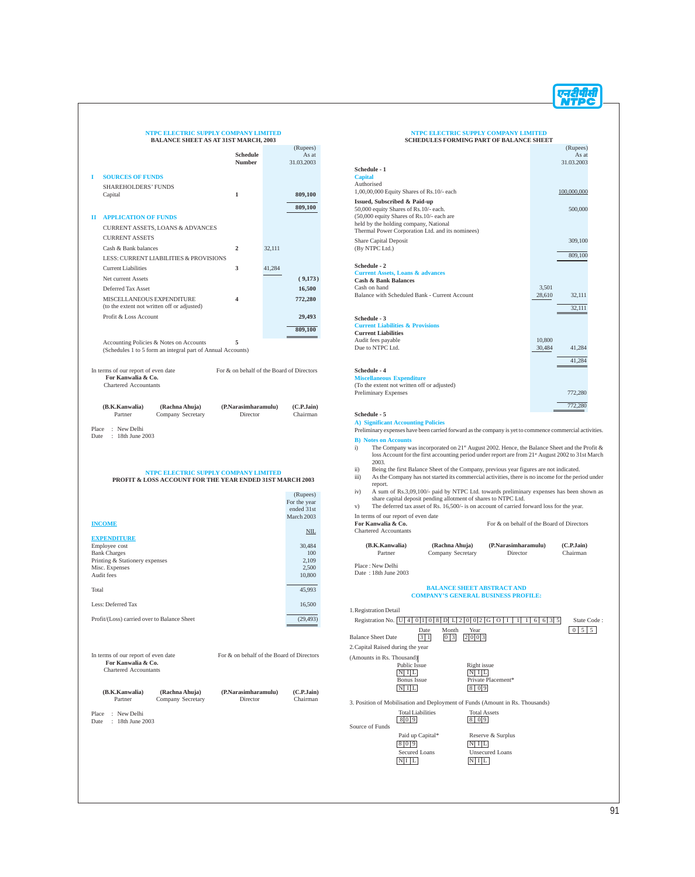## **NTPC ELECTRIC SUPPLY COMPANY LIMITED**

|                                             | <b>BALANCE SHEET AS AT 31ST MARCH, 2003</b>                                                            |                                           |        |                                 |
|---------------------------------------------|--------------------------------------------------------------------------------------------------------|-------------------------------------------|--------|---------------------------------|
|                                             |                                                                                                        | Schedule<br><b>Number</b>                 |        | (Rupees)<br>As at<br>31.03.2003 |
| 1<br><b>SOURCES OF FUNDS</b>                |                                                                                                        |                                           |        |                                 |
| <b>SHAREHOLDERS' FUNDS</b>                  |                                                                                                        |                                           |        |                                 |
| Capital                                     |                                                                                                        | 1                                         |        | 809,100                         |
|                                             |                                                                                                        |                                           |        | 809,100                         |
| <b>APPLICATION OF FUNDS</b><br>п            |                                                                                                        |                                           |        |                                 |
|                                             | CURRENT ASSETS, LOANS & ADVANCES                                                                       |                                           |        |                                 |
| <b>CURRENT ASSETS</b>                       |                                                                                                        |                                           |        |                                 |
| Cash & Bank balances                        |                                                                                                        | $\overline{2}$                            | 32,111 |                                 |
|                                             | LESS: CURRENT LIABILITIES & PROVISIONS                                                                 |                                           |        |                                 |
| <b>Current Liabilities</b>                  |                                                                                                        | 3                                         | 41,284 |                                 |
| Net current Assets                          |                                                                                                        |                                           |        | (9,173)                         |
| Deferred Tax Asset                          |                                                                                                        | 4                                         |        | 16,500                          |
|                                             | MISCELLANEOUS EXPENDITURE<br>(to the extent not written off or adjusted)                               |                                           |        | 772,280                         |
| Profit & Loss Account                       |                                                                                                        |                                           |        | 29,493                          |
|                                             |                                                                                                        |                                           |        | 809,100                         |
|                                             | Accounting Policies & Notes on Accounts<br>(Schedules 1 to 5 form an integral part of Annual Accounts) | 5                                         |        |                                 |
| (B.K.Kanwalia)<br>Partner                   | (Rachna Ahuja)<br>Company Secretary                                                                    | (P.Narasimharamulu)<br>Director           |        | (C.P.Jain)<br>Chairman          |
| Place : New Delhi<br>Date: 18th June 2003   |                                                                                                        |                                           |        |                                 |
|                                             | NTPC ELECTRIC SUPPLY COMPANY LIMITED<br>PROFIT & LOSS ACCOUNT FOR THE YEAR ENDED 31ST MARCH 2003       |                                           |        | (Rupees)                        |
|                                             |                                                                                                        |                                           |        | For the year<br>ended 31st      |
|                                             |                                                                                                        |                                           |        | March 2003                      |
| <b>INCOME</b>                               |                                                                                                        |                                           |        | NIL                             |
| <b>EXPENDITURE</b><br>Employee cost         |                                                                                                        |                                           |        | 30,484                          |
| <b>Bank Charges</b>                         |                                                                                                        |                                           |        | 100                             |
| Printing & Stationery expenses              |                                                                                                        |                                           |        | 2,109                           |
| Misc. Expenses<br>Audit fees                |                                                                                                        |                                           |        | 2,500<br>10,800                 |
| Total                                       |                                                                                                        |                                           |        | 45,993                          |
| Less: Deferred Tax                          |                                                                                                        |                                           |        | 16,500                          |
| Profit/(Loss) carried over to Balance Sheet |                                                                                                        |                                           |        | (29, 493)                       |
| In terms of our report of even date         |                                                                                                        | For & on behalf of the Board of Directors |        |                                 |
| For Kanwalia & Co.<br>Chartered Accountants |                                                                                                        |                                           |        |                                 |

**(B.K.Kanwalia) (Rachna Ahuja) (P.Narasimharamulu) (C.P.Jain)** (Rachna Ahuja)<br>Company Secretary Place : New Delhi Date : 18th June 2003

#### **NTPC ELECTRIC SUPPLY COMPANY LIMITED SCHEDULES FORMING PART OF BALANCE SHEET**

|                                                  |        | (Rupees)    |  |
|--------------------------------------------------|--------|-------------|--|
|                                                  |        | As at       |  |
|                                                  |        | 31.03.2003  |  |
| Schedule - 1                                     |        |             |  |
| <b>Capital</b>                                   |        |             |  |
| Authorised                                       |        |             |  |
| 1,00,00,000 Equity Shares of Rs.10/- each        |        | 100,000,000 |  |
| Issued, Subscribed & Paid-up                     |        |             |  |
| 50,000 equity Shares of Rs.10/- each.            |        | 500,000     |  |
| (50,000 equity Shares of Rs.10/- each are        |        |             |  |
| held by the holding company, National            |        |             |  |
| Thermal Power Corporation Ltd. and its nominees) |        |             |  |
| <b>Share Capital Deposit</b>                     |        | 309,100     |  |
| (By NTPC Ltd.)                                   |        |             |  |
|                                                  |        | 809,100     |  |
| Schedule - 2                                     |        |             |  |
| <b>Current Assets, Loans &amp; advances</b>      |        |             |  |
| <b>Cash &amp; Bank Balances</b>                  |        |             |  |
| Cash on hand                                     | 3,501  |             |  |
| Balance with Scheduled Bank - Current Account    | 28,610 | 32,111      |  |
|                                                  |        |             |  |
|                                                  |        | 32,111      |  |
| Schedule - 3                                     |        |             |  |
| <b>Current Liabilities &amp; Provisions</b>      |        |             |  |
| <b>Current Liabilities</b>                       |        |             |  |
| Audit fees payable                               | 10.800 |             |  |
| Due to NTPC Ltd.                                 | 30,484 | 41,284      |  |
|                                                  |        |             |  |
|                                                  |        | 41,284      |  |
| Schedule - 4                                     |        |             |  |
| <b>Miscellaneous Expenditure</b>                 |        |             |  |
| (To the extent not written off or adjusted)      |        |             |  |
| <b>Preliminary Expenses</b>                      |        | 772,280     |  |

**Schedule - 5 A) Significant Accounting Policies** Preliminary expenses have been carried forward as the company is yet to commence commercial activities.

**B) Notes on Accounts**

i) The Company was incorporated on  $21<sup>st</sup>$  August 2002. Hence, the Balance Sheet and the Profit & loss Account for the first accounting period under report are from  $21<sup>st</sup>$  August 2002 to 31st March 2003.

772,280

- 
- ii) Being the first Balance Sheet of the Company, previous year figures are not indicated.<br>
iii) As the Company has not started its commercial activities, there is no income for the period under
- report.<br>
A sum of Rs.3,09,100/- paid by NTPC Ltd. towards preliminary expenses has been shown as<br>
the capital deposit pending allotment of shares to NTPC Ltd.<br>
The deferred tax asset of Rs. 16,500/- is on account of carrie
- 

In terms of our report of even date

| in terms of our report of even alle<br>For Kanwalia & Co. | For & on behalf of the Board of Directors |
|-----------------------------------------------------------|-------------------------------------------|
| Chartered Accountants                                     |                                           |

| (B.K.Kanwalia) | (Rachna Ahuia)    | (P.Narasimharamulu) | (C.P.Jain) |
|----------------|-------------------|---------------------|------------|
| Partner        | Company Secretary | Director            | Chairman   |

Place : New Delhi Date: 18th June 2003

## **BALANCE SHEET ABSTRACT AND COMPANY'S GENERAL BUSINESS PROFILE:**

| Registration No. U<br>0 2 G <br>6 3 5<br>8<br>$\mathbf{D}$<br>$\overline{2}$<br>State Code:<br>$L^1$<br>$\overline{0}$<br>6<br>4 <sup>1</sup><br>$\overline{0}$<br>$\circ$<br>$\Omega$<br>1 |  |
|---------------------------------------------------------------------------------------------------------------------------------------------------------------------------------------------|--|
|                                                                                                                                                                                             |  |
| $5 \mid 5$<br>Month<br>Year<br>Date<br>0 <sup>1</sup>                                                                                                                                       |  |
| 0 3 <br><b>Balance Sheet Date</b><br>3 1 <br>2 0 0 3                                                                                                                                        |  |
| 2. Capital Raised during the year                                                                                                                                                           |  |
| (Amounts in Rs. Thousand)                                                                                                                                                                   |  |
| Public Issue<br>Right issue<br>$N1$ II<br>N                                                                                                                                                 |  |
| Private Placement*<br><b>Bonus</b> Issue                                                                                                                                                    |  |
| N I L<br>8   0   9                                                                                                                                                                          |  |
| 3. Position of Mobilisation and Deployment of Funds (Amount in Rs. Thousands)                                                                                                               |  |
| <b>Total Liabilities</b><br><b>Total Assets</b>                                                                                                                                             |  |
| 80 9<br> 0 9<br>8                                                                                                                                                                           |  |
| Source of Funds                                                                                                                                                                             |  |
| Paid up Capital*<br>Reserve & Surplus                                                                                                                                                       |  |
| 81019<br>L<br>$\mathbf{I}$<br>N                                                                                                                                                             |  |
| <b>Secured Loans</b><br><b>Unsecured Loans</b>                                                                                                                                              |  |
| $N1$   L<br>$N$ I L                                                                                                                                                                         |  |
|                                                                                                                                                                                             |  |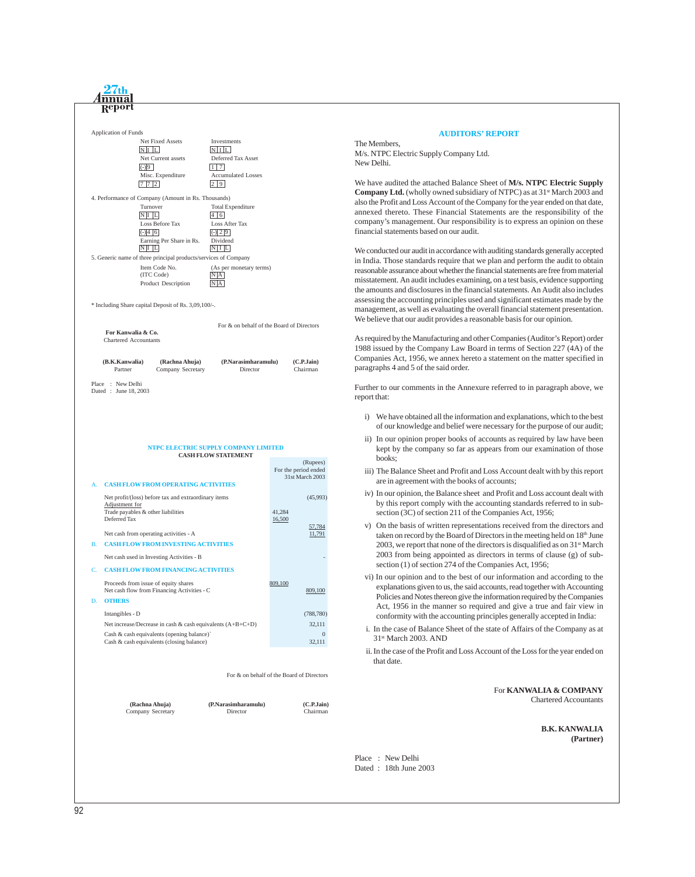

#### **AUDITORS' REPORT**

The Members, M/s. NTPC Electric Supply Company Ltd. New Delhi.

We have audited the attached Balance Sheet of **M/s. NTPC Electric Supply Company Ltd.** (wholly owned subsidiary of NTPC) as at 31<sup>st</sup> March 2003 and also the Profit and Loss Account of the Company for the year ended on that date, annexed thereto. These Financial Statements are the responsibility of the company's management. Our responsibility is to express an opinion on these financial statements based on our audit.

We conducted our audit in accordance with auditing standards generally accepted in India. Those standards require that we plan and perform the audit to obtain reasonable assurance about whether the financial statements are free from material misstatement. An audit includes examining, on a test basis, evidence supporting the amounts and disclosures in the financial statements. An Audit also includes assessing the accounting principles used and significant estimates made by the management, as well as evaluating the overall financial statement presentation. We believe that our audit provides a reasonable basis for our opinion.

As required by the Manufacturing and other Companies (Auditor's Report) order 1988 issued by the Company Law Board in terms of Section 227 (4A) of the Companies Act, 1956, we annex hereto a statement on the matter specified in paragraphs 4 and 5 of the said order.

Further to our comments in the Annexure referred to in paragraph above, we report that:

- i) We have obtained all the information and explanations, which to the best of our knowledge and belief were necessary for the purpose of our audit;
- ii) In our opinion proper books of accounts as required by law have been kept by the company so far as appears from our examination of those books;
- iii) The Balance Sheet and Profit and Loss Account dealt with by this report are in agreement with the books of accounts;
- iv) In our opinion, the Balance sheet and Profit and Loss account dealt with by this report comply with the accounting standards referred to in subsection (3C) of section 211 of the Companies Act, 1956;
- v) On the basis of written representations received from the directors and taken on record by the Board of Directors in the meeting held on 18<sup>th</sup> June 2003, we report that none of the directors is disqualified as on  $31<sup>st</sup>$  March 2003 from being appointed as directors in terms of clause (g) of subsection (1) of section 274 of the Companies Act, 1956;
- vi) In our opinion and to the best of our information and according to the explanations given to us, the said accounts, read together with Accounting Policies and Notes thereon give the information required by the Companies Act, 1956 in the manner so required and give a true and fair view in conformity with the accounting principles generally accepted in India:
- i. In the case of Balance Sheet of the state of Affairs of the Company as at 31st March 2003. AND
- ii. In the case of the Profit and Loss Account of the Loss for the year ended on that date.

#### For **KANWALIA & COMPANY** Chartered Accountants

**B.K. KANWALIA (Partner)**

Place : New Delhi Dated : 18th June 2003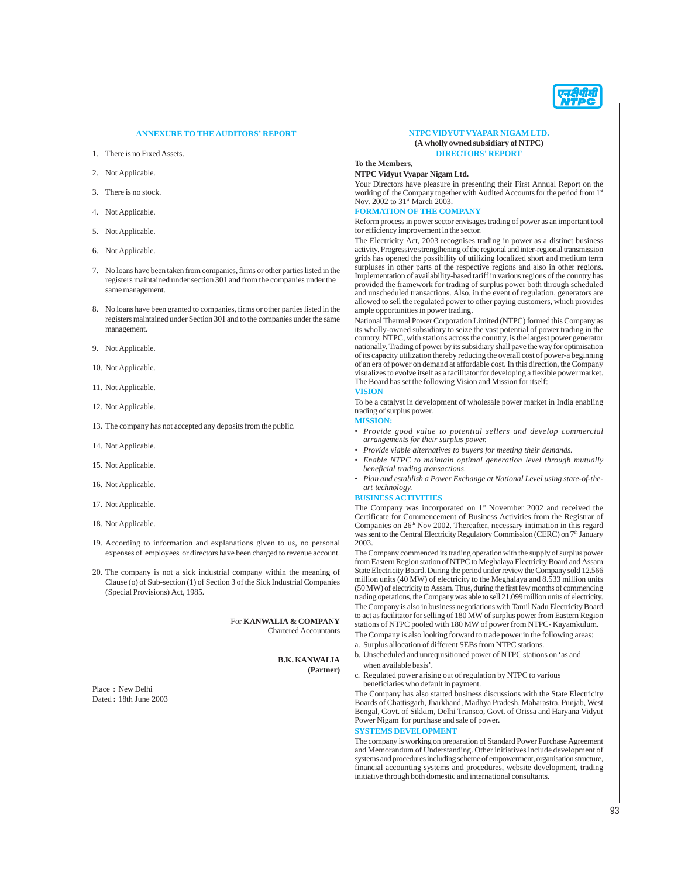

#### **ANNEXURE TO THE AUDITORS' REPORT**

- 1. There is no Fixed Assets.
- 2. Not Applicable.
- 3. There is no stock.
- 4. Not Applicable.
- 5. Not Applicable.
- 6. Not Applicable.
- 7. No loans have been taken from companies, firms or other parties listed in the registers maintained under section 301 and from the companies under the same management.
- 8. No loans have been granted to companies, firms or other parties listed in the registers maintained under Section 301 and to the companies under the same management.
- 9. Not Applicable.
- 10. Not Applicable.
- 11. Not Applicable.
- 12. Not Applicable.
- 13. The company has not accepted any deposits from the public.
- 14. Not Applicable.
- 15. Not Applicable.
- 16. Not Applicable.
- 17. Not Applicable.
- 18. Not Applicable.
- 19. According to information and explanations given to us, no personal expenses of employees or directors have been charged to revenue account.
- 20. The company is not a sick industrial company within the meaning of Clause (o) of Sub-section (1) of Section 3 of the Sick Industrial Companies (Special Provisions) Act, 1985.

For **KANWALIA & COMPANY** Chartered Accountants

#### **B.K. KANWALIA (Partner)**

Place : New Delhi Dated : 18th June 2003

#### **NTPC VIDYUT VYAPAR NIGAM LTD. (A wholly owned subsidiary of NTPC) DIRECTORS' REPORT**

**To the Members, NTPC Vidyut Vyapar Nigam Ltd.**

Your Directors have pleasure in presenting their First Annual Report on the working of the Company together with Audited Accounts for the period from 1st Nov. 2002 to 31<sup>st</sup> March 2003.

#### **FORMATION OF THE COMPANY**

Reform process in power sector envisages trading of power as an important tool for efficiency improvement in the sector.

The Electricity Act, 2003 recognises trading in power as a distinct business activity. Progressive strengthening of the regional and inter-regional transmission grids has opened the possibility of utilizing localized short and medium term surpluses in other parts of the respective regions and also in other regions. Implementation of availability-based tariff in various regions of the country has provided the framework for trading of surplus power both through scheduled and unscheduled transactions. Also, in the event of regulation, generators are allowed to sell the regulated power to other paying customers, which provides ample opportunities in power trading.

National Thermal Power Corporation Limited (NTPC) formed this Company as its wholly-owned subsidiary to seize the vast potential of power trading in the country. NTPC, with stations across the country, is the largest power generator nationally. Trading of power by its subsidiary shall pave the way for optimisation of its capacity utilization thereby reducing the overall cost of power-a beginning of an era of power on demand at affordable cost. In this direction, the Company visualizes to evolve itself as a facilitator for developing a flexible power market. The Board has set the following Vision and Mission for itself:

#### **VISION**

To be a catalyst in development of wholesale power market in India enabling trading of surplus power.

#### **MISSION:**

- *Provide good value to potential sellers and develop commercial arrangements for their surplus power.*
- *Provide viable alternatives to buyers for meeting their demands.*
- *Enable NTPC to maintain optimal generation level through mutually beneficial trading transactions.*
- *Plan and establish a Power Exchange at National Level using state-of-theart technology.*

#### **BUSINESS ACTIVITIES**

The Company was incorporated on 1<sup>st</sup> November 2002 and received the Certificate for Commencement of Business Activities from the Registrar of Companies on 26<sup>th</sup> Nov 2002. Thereafter, necessary intimation in this regard was sent to the Central Electricity Regulatory Commission (CERC) on 7<sup>th</sup> January 2003.

The Company commenced its trading operation with the supply of surplus power from Eastern Region station of NTPC to Meghalaya Electricity Board and Assam State Electricity Board. During the period under review the Company sold 12.566 million units (40 MW) of electricity to the Meghalaya and 8.533 million units (50 MW) of electricity to Assam. Thus, during the first few months of commencing trading operations, the Company was able to sell 21.099 million units of electricity. The Company is also in business negotiations with Tamil Nadu Electricity Board to act as facilitator for selling of 180 MW of surplus power from Eastern Region stations of NTPC pooled with 180 MW of power from NTPC- Kayamkulum. The Company is also looking forward to trade power in the following areas:

- a. Surplus allocation of different SEBs from NTPC stations.
- b. Unscheduled and unrequisitioned power of NTPC stations on 'as and when available basis'.
- c. Regulated power arising out of regulation by NTPC to various beneficiaries who default in payment.

The Company has also started business discussions with the State Electricity Boards of Chattisgarh, Jharkhand, Madhya Pradesh, Maharastra, Punjab, West Bengal, Govt. of Sikkim, Delhi Transco, Govt. of Orissa and Haryana Vidyut Power Nigam for purchase and sale of power.

#### **SYSTEMS DEVELOPMENT**

The company is working on preparation of Standard Power Purchase Agreement and Memorandum of Understanding. Other initiatives include development of systems and procedures including scheme of empowerment, organisation structure, financial accounting systems and procedures, website development, trading initiative through both domestic and international consultants.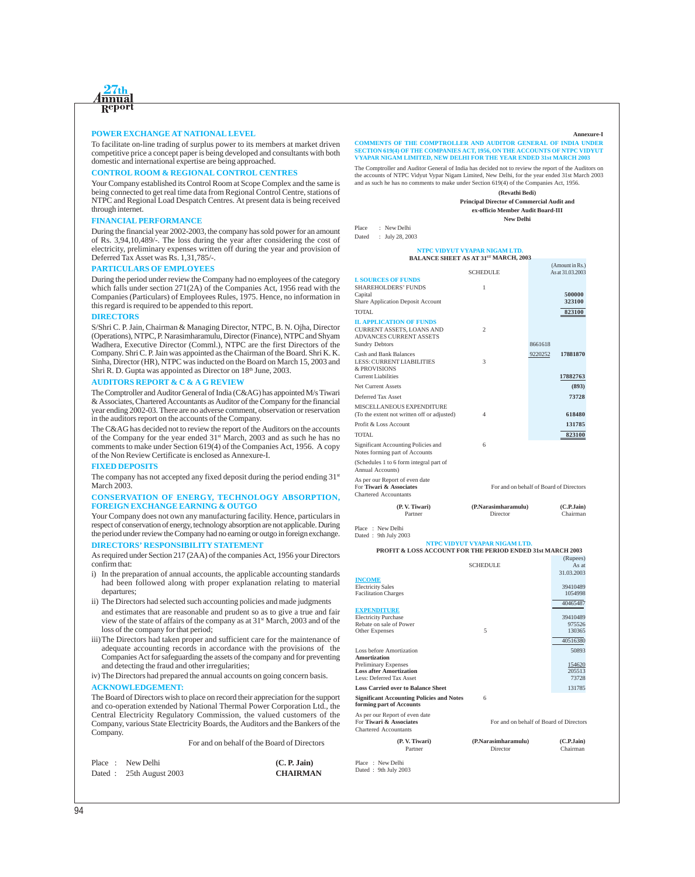

#### **POWER EXCHANGE AT NATIONAL LEVEL**

To facilitate on-line trading of surplus power to its members at market driven competitive price a concept paper is being developed and consultants with both domestic and international expertise are being approached.

#### **CONTROL ROOM & REGIONAL CONTROL CENTRES**

Your Company established its Control Room at Scope Complex and the same is being connected to get real time data from Regional Control Centre, stations of NTPC and Regional Load Despatch Centres. At present data is being received through internet.

#### **FINANCIAL PERFORMANCE**

During the financial year 2002-2003, the company has sold power for an amount of Rs. 3,94,10,489/-. The loss during the year after considering the cost of electricity, preliminary expenses written off during the year and provision of Deferred Tax Asset was Rs. 1,31,785/-.

#### **PARTICULARS OF EMPLOYEES**

During the period under review the Company had no employees of the category which falls under section 271(2A) of the Companies Act, 1956 read with the Companies (Particulars) of Employees Rules, 1975. Hence, no information in this regard is required to be appended to this report.

#### **DIRECTORS**

S/Shri C. P. Jain, Chairman & Managing Director, NTPC, B. N. Ojha, Director (Operations), NTPC, P. Narasimharamulu, Director (Finance), NTPC and Shyam Wadhera, Executive Director (Comml.), NTPC are the first Directors of the Company. Shri C. P. Jain was appointed as the Chairman of the Board. Shri K. K. Sinha, Director (HR), NTPC was inducted on the Board on March 15, 2003 and Shri R. D. Gupta was appointed as Director on 18<sup>th</sup> June, 2003.

#### **AUDITORS REPORT & C & A G REVIEW**

The Comptroller and Auditor General of India (C&AG) has appointed M/s Tiwari & Associates, Chartered Accountants as Auditor of the Company for the financial year ending 2002-03. There are no adverse comment, observation or reservation in the auditors report on the accounts of the Company.

The C&AG has decided not to review the report of the Auditors on the accounts of the Company for the year ended 31st March, 2003 and as such he has no comments to make under Section 619(4) of the Companies Act, 1956. A copy of the Non Review Certificate is enclosed as Annexure-I.

#### **FIXED DEPOSITS**

The company has not accepted any fixed deposit during the period ending  $31<sup>st</sup>$ March 2003.

#### **CONSERVATION OF ENERGY, TECHNOLOGY ABSORPTION, FOREIGN EXCHANGE EARNING & OUTGO**

Your Company does not own any manufacturing facility. Hence, particulars in respect of conservation of energy, technology absorption are not applicable. During the period under review the Company had no earning or outgo in foreign exchange. **DIRECTORS' RESPONSIBILITY STATEMENT**

As required under Section 217 (2AA) of the companies Act, 1956 your Directors confirm that:

- i) In the preparation of annual accounts, the applicable accounting standards had been followed along with proper explanation relating to material departures;
- ii) The Directors had selected such accounting policies and made judgments and estimates that are reasonable and prudent so as to give a true and fair view of the state of affairs of the company as at 31<sup>st</sup> March, 2003 and of the loss of the company for that period;
- iii)The Directors had taken proper and sufficient care for the maintenance of adequate accounting records in accordance with the provisions of the Companies Act for safeguarding the assets of the company and for preventing and detecting the fraud and other irregularities;
- iv) The Directors had prepared the annual accounts on going concern basis. **ACKNOWLEDGEMENT:**

The Board of Directors wish to place on record their appreciation for the support and co-operation extended by National Thermal Power Corporation Ltd., the Central Electricity Regulatory Commission, the valued customers of the Company, various State Electricity Boards, the Auditors and the Bankers of the Company.

For and on behalf of the Board of Directors

|  | Place : New Delhi       | (C. P. Jain)    |
|--|-------------------------|-----------------|
|  | Dated: 25th August 2003 | <b>CHAIRMAN</b> |

#### **Annexure-I**

**COMMENTS OF THE COMPTROLLER AND AUDITOR GENERAL OF INDIA UNDER SECTION 619(4) OF THE COMPANIES ACT, 1956, ON THE ACCOUNTS OF NTPC VIDYUT VYAPAR NIGAM LIMITED, NEW DELHI FOR THE YEAR ENDED 31st MARCH 20** 

The Comptroller and Auditor General of India has decided not to review the report of the Auditors on the accounts of NTPC Vidyut Vypar Nigam Limited, New Delhi, for the year ended 31st March 2003 and as such he has no comments to make under Section 619(4) of the Companies Act, 1956.

> **(Revathi Bedi) Principal Director of Commercial Audit and**

**ex-officio Member Audit Board-III New Delhi**

Place : New Delhi

Dated : July 28, 2003

#### **NTPC VIDYUT VYAPAR NIGAM LTD. BALANCE SHEET AS AT 31ST MARCH, 2003**

|                                                                                           |                                         |         | (Amount in Rs.)<br>As at 31.03.2003 |
|-------------------------------------------------------------------------------------------|-----------------------------------------|---------|-------------------------------------|
| <b>I. SOURCES OF FUNDS</b>                                                                | <b>SCHEDULE</b>                         |         |                                     |
| <b>SHAREHOLDERS' FUNDS</b>                                                                | 1                                       |         |                                     |
| Capital                                                                                   |                                         |         | 500000                              |
| <b>Share Application Deposit Account</b>                                                  |                                         |         | 323100                              |
| TOTAL.                                                                                    |                                         |         | 823100                              |
| <b>II. APPLICATION OF FUNDS</b>                                                           |                                         |         |                                     |
| CURRENT ASSETS, LOANS AND<br><b>ADVANCES CURRENT ASSETS</b>                               | $\overline{c}$                          |         |                                     |
| <b>Sundry Debtors</b>                                                                     |                                         | 8661618 |                                     |
| <b>Cash and Bank Balances</b>                                                             |                                         | 9220252 | 17881870                            |
| <b>LESS: CURRENT LIABILITIES</b><br>& PROVISIONS                                          | 3                                       |         |                                     |
| <b>Current Liabilities</b>                                                                |                                         |         | 17882763                            |
| Net Current Assets                                                                        |                                         |         | (893)                               |
| Deferred Tax Asset                                                                        |                                         |         | 73728                               |
| MISCELLANEOUS EXPENDITURE                                                                 |                                         |         |                                     |
| (To the extent not written off or adjusted)                                               | 4                                       |         | 618480                              |
| Profit & Loss Account                                                                     |                                         |         | 131785                              |
| TOTAL.                                                                                    |                                         |         | 823100                              |
| Significant Accounting Policies and<br>Notes forming part of Accounts                     | 6                                       |         |                                     |
| (Schedules 1 to 6 form integral part of<br><b>Annual Accounts)</b>                        |                                         |         |                                     |
| As per our Report of even date<br>For Tiwari & Associates<br><b>Chartered Accountants</b> | For and on behalf of Board of Directors |         |                                     |
| (P.V. Tiwari)<br>Partner                                                                  | (P.Narasimharamulu)<br>Director         |         | (C.P.Jain)<br>Chairman              |

Place : New Delh<br>Dated : 9th July 20 9th July 2003

## **NTPC VIDYUT VYAPAR NIGAM LTD. PROFIT & LOSS ACCOUNT FOR THE PERIOD ENDED 31st MARCH 2003**

|                                                                                           | <b>SCHEDULE</b>                         | (Rupees)<br>As at      |
|-------------------------------------------------------------------------------------------|-----------------------------------------|------------------------|
|                                                                                           |                                         | 31.03.2003             |
| <b>INCOME</b><br><b>Electricity Sales</b><br><b>Facilitation Charges</b>                  |                                         | 39410489<br>1054998    |
|                                                                                           |                                         | 40465487               |
| <b>EXPENDITURE</b>                                                                        |                                         |                        |
| <b>Electricity Purchase</b>                                                               |                                         | 39410489               |
| Rebate on sale of Power                                                                   | 5                                       | 975526<br>130365       |
| Other Expenses                                                                            |                                         |                        |
|                                                                                           |                                         | 40516380               |
| <b>Loss before Amortization</b><br><b>Amortization</b>                                    |                                         | 50893                  |
| <b>Preliminary Expenses</b>                                                               |                                         | 154620                 |
| <b>Loss after Amortization</b>                                                            |                                         | 205513                 |
| Less: Deferred Tax Asset                                                                  |                                         | 73728                  |
| <b>Loss Carried over to Balance Sheet</b>                                                 |                                         | 131785                 |
| <b>Significant Accounting Policies and Notes</b><br>forming part of Accounts              | 6                                       |                        |
| As per our Report of even date<br>For Tiwari & Associates<br><b>Chartered Accountants</b> | For and on behalf of Board of Directors |                        |
| (P.V. Tiwari)<br>Partner                                                                  | (P.Narasimharamulu)<br>Director         | (C.P.Jain)<br>Chairman |
|                                                                                           |                                         |                        |
| Place: New Delhi<br>Dated: 9th July 2003                                                  |                                         |                        |
|                                                                                           |                                         |                        |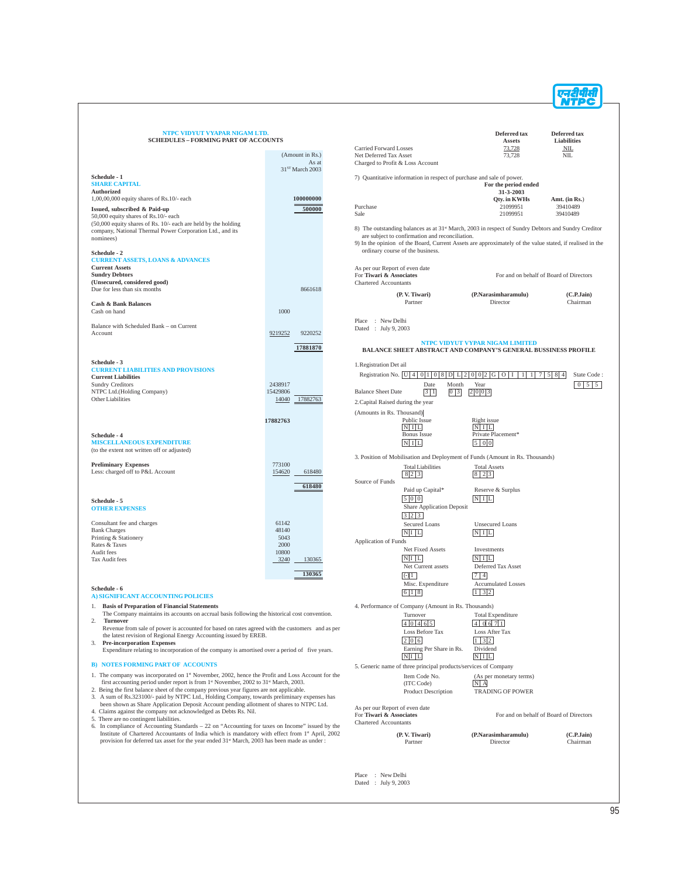| NTPC VIDYUT VYAPAR NIGAM LTD.<br><b>SCHEDULES - FORMING PART OF ACCOUNTS</b>                                                                                                                                                                                                                                                                                                                                              |                                          |                                                                                    |                                                                              | Deferred tax<br>Assets                                                                                                      | Deferred tax<br>Liabilities                    |
|---------------------------------------------------------------------------------------------------------------------------------------------------------------------------------------------------------------------------------------------------------------------------------------------------------------------------------------------------------------------------------------------------------------------------|------------------------------------------|------------------------------------------------------------------------------------|------------------------------------------------------------------------------|-----------------------------------------------------------------------------------------------------------------------------|------------------------------------------------|
|                                                                                                                                                                                                                                                                                                                                                                                                                           | (Amount in Rs.)<br>As at                 | <b>Carried Forward Losses</b><br>Net Deferred Tax Asset                            | Charged to Profit & Loss Account                                             | 73,728<br>73,728                                                                                                            | NIL<br><b>NIL</b>                              |
| Schedule - 1<br><b>SHARE CAPITAL</b>                                                                                                                                                                                                                                                                                                                                                                                      | 31 <sup>ST</sup> March 2003              |                                                                                    | 7) Quantitative information in respect of purchase and sale of power.        | For the period ended                                                                                                        |                                                |
| <b>Authorized</b><br>$1,00,00,000$ equity shares of Rs.10/- each<br>Issued, subscribed & Paid-up                                                                                                                                                                                                                                                                                                                          | 100000000<br>500000                      | Purchase                                                                           |                                                                              | 31-3-2003<br><b>Qty.</b> in KWHs<br>21099951                                                                                | Amt. (in $Rs.$ )<br>39410489                   |
| 50,000 equity shares of Rs.10/- each<br>$(50,000)$ equity shares of Rs. 10/- each are held by the holding<br>company, National Thermal Power Corporation Ltd., and its                                                                                                                                                                                                                                                    |                                          | Sale                                                                               | are subject to confirmation and reconciliation.                              | 21099951<br>8) The outstanding balances as at 31 <sup>st</sup> March, 2003 in respect of Sundry Debtors and Sundry Creditor | 39410489                                       |
| nominees)<br>Schedule - 2<br><b>CURRENT ASSETS, LOANS &amp; ADVANCES</b>                                                                                                                                                                                                                                                                                                                                                  |                                          |                                                                                    | ordinary course of the business.                                             | 9) In the opinion of the Board, Current Assets are approximately of the value stated, if realised in the                    |                                                |
| <b>Current Assets</b><br><b>Sundry Debtors</b><br>(Unsecured, considered good)                                                                                                                                                                                                                                                                                                                                            |                                          | As per our Report of even date<br>For Tiwari & Associates<br>Chartered Accountants |                                                                              |                                                                                                                             | For and on behalf of Board of Directors        |
| Due for less than six months<br><b>Cash &amp; Bank Balances</b>                                                                                                                                                                                                                                                                                                                                                           | 8661618                                  |                                                                                    | (P.V. Tiwari)<br>Partner                                                     | (P.Narasimharamulu)<br>Director                                                                                             | (C.P.Jain)<br>Chairman                         |
| Cash on hand<br>Balance with Scheduled Bank - on Current<br>Account                                                                                                                                                                                                                                                                                                                                                       | 1000<br>9219252<br>9220252               | Place : New Delhi<br>Dated : July 9, 2003                                          |                                                                              |                                                                                                                             |                                                |
|                                                                                                                                                                                                                                                                                                                                                                                                                           | 17881870                                 |                                                                                    |                                                                              | NTPC VIDYUT VYPAR NIGAM LIMITED<br><b>BALANCE SHEET ABSTRACT AND COMPANY'S GENERAL BUSSINESS PROFILE</b>                    |                                                |
| Schedule - 3<br><b>CURRENT LIABILITIES AND PROVISIONS</b><br><b>Current Liabilities</b>                                                                                                                                                                                                                                                                                                                                   |                                          | 1. Registration Det ail                                                            | Registration No.   U   4   0   1   0   8   D   L   2   0   0   2   G   O   I | 1                                                                                                                           | $1 \mid 7 \mid 5 \mid 8 \mid 4$<br>State Code: |
| <b>Sundry Creditors</b><br>NTPC Ltd.(Holding Company)<br>Other Liabilities                                                                                                                                                                                                                                                                                                                                                | 2438917<br>15429806<br>14040<br>17882763 | <b>Balance Sheet Date</b><br>2. Capital Raised during the year                     | Date<br>Month<br> 3 1 <br> 0 3                                               | Year<br> 2 0 0 3                                                                                                            | $0 \mid 5 \mid 5$                              |
|                                                                                                                                                                                                                                                                                                                                                                                                                           | 17882763                                 | (Amounts in Rs. Thousand)                                                          | Public Issue<br>$N$ $I$ $L$                                                  | Right issue<br>N <sub>1</sub> L                                                                                             |                                                |
| Schedule - 4<br><b>MISCELLANEOUS EXPENDITURE</b><br>(to the extent not written off or adjusted)                                                                                                                                                                                                                                                                                                                           |                                          |                                                                                    | Bonus Issue<br>$N$ I L                                                       | Private Placement*<br>500                                                                                                   |                                                |
| <b>Preliminary Expenses</b><br>Less: charged off to P&L Account                                                                                                                                                                                                                                                                                                                                                           | 773100<br>154620<br>618480               | Source of Funds                                                                    | <b>Total Liabilities</b><br>8 2 3                                            | 3. Position of Mobilisation and Deployment of Funds (Amount in Rs. Thousands)<br><b>Total Assets</b><br>$8 \mid 2 \mid 3$   |                                                |
| Schedule - 5                                                                                                                                                                                                                                                                                                                                                                                                              | 618480                                   |                                                                                    | Paid up Capital*<br>500                                                      | Reserve & Surplus<br>$N$ $I$ $L$                                                                                            |                                                |
| <b>OTHER EXPENSES</b><br>Consultant fee and charges                                                                                                                                                                                                                                                                                                                                                                       | 61142<br>48140                           |                                                                                    | Share Application Deposit<br>3 2 3<br>Secured Loans                          | <b>Unsecured Loans</b>                                                                                                      |                                                |
| <b>Bank Charges</b><br>Printing & Stationery<br>Rates & Taxes<br>Audit fees                                                                                                                                                                                                                                                                                                                                               | 5043<br>2000<br>10800                    | <b>Application of Funds</b>                                                        | N <sub>I</sub> L<br>Net Fixed Assets                                         | $N$ $I$ $L$<br>Investments                                                                                                  |                                                |
| Tax Audit fees                                                                                                                                                                                                                                                                                                                                                                                                            | 3240<br>130365<br>130365                 |                                                                                    | $N/I$ $L$<br>Net Current assets<br>$\left( -\right) 1$                       | $N$ $I$ $L$<br>Deferred Tax Asset<br>7 4                                                                                    |                                                |
| Schedule - 6<br>A) SIGNIFICANT ACCOUNTING POLICIES                                                                                                                                                                                                                                                                                                                                                                        |                                          |                                                                                    | Misc. Expenditure<br>6 1 8                                                   | <b>Accumulated Losses</b><br>$1 \overline{3} \overline{2}$                                                                  |                                                |
| 1. Basis of Preparation of Financial Statements<br>The Company maintains its accounts on accrual basis following the historical cost convention.<br>2.<br><b>Turnover</b>                                                                                                                                                                                                                                                 |                                          |                                                                                    | 4. Performance of Company (Amount in Rs. Thousands)<br>Turnover<br>40465     | <b>Total Expenditure</b><br> 4 06 7 1                                                                                       |                                                |
| Revenue from sale of power is accounted for based on rates agreed with the customers and as per<br>the latest revision of Regional Energy Accounting issued by EREB.<br><b>Pre-incorporation Expenses</b><br>3.<br>Expenditure relating to incorporation of the company is amortised over a period of five years.                                                                                                         |                                          |                                                                                    | Loss Before Tax<br>2 0 6<br>Earning Per Share in Rs.                         | Loss After Tax<br>$1 \mid 3 \mid 2$<br>Dividend                                                                             |                                                |
| <b>B) NOTES FORMING PART OF ACCOUNTS</b>                                                                                                                                                                                                                                                                                                                                                                                  |                                          |                                                                                    | $N/I$ L<br>5. Generic name of three principal products/services of Company   | $N$ I L                                                                                                                     |                                                |
| 1. The company was incorporated on 1 <sup>st</sup> November, 2002, hence the Profit and Loss Account for the<br>first accounting period under report is from 1 <sup>st</sup> November, 2002 to 31 <sup>st</sup> March, 2003.<br>2. Being the first balance sheet of the company previous year figures are not applicable.<br>3. A sum of Rs.323100/- paid by NTPC Ltd., Holding Company, towards preliminary expenses has |                                          |                                                                                    | Item Code No.<br>(ITC Code)<br>Product Description                           | (As per monetary terms)<br>N/A<br><b>TRADING OF POWER</b>                                                                   |                                                |
| been shown as Share Application Deposit Account pending allotment of shares to NTPC Ltd.<br>4. Claims against the company not acknowledged as Debts Rs. Nil.<br>5. There are no contingent liabilities.                                                                                                                                                                                                                   |                                          | As per our Report of even date<br>For Tiwari & Associates<br>Chartered Accountants |                                                                              |                                                                                                                             | For and on behalf of Board of Directors        |
| 6. In compliance of Accounting Standards $-22$ on "Accounting for taxes on Income" issued by the<br>Institute of Chartered Accountants of India which is mandatory with effect from 1 <sup>st</sup> April, 2002<br>provision for deferred tax asset for the year ended $31st$ March, 2003 has been made as under :                                                                                                        |                                          |                                                                                    | (P.V. Tiwari)<br>Partner                                                     | (P.Narasimharamulu)<br>Director                                                                                             | (C.P.Jain)<br>Chairman                         |

Place : New Delhi Dated : July 9, 2003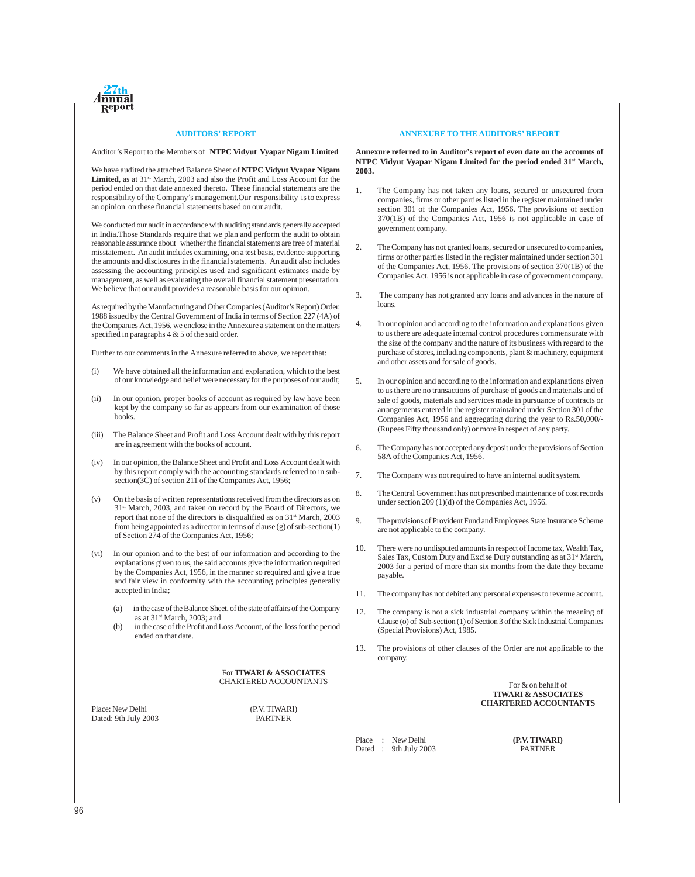

#### **AUDITORS' REPORT**

Auditor's Report to the Members of **NTPC Vidyut Vyapar Nigam Limited**

We have audited the attached Balance Sheet of **NTPC Vidyut Vyapar Nigam** Limited, as at  $31<sup>st</sup>$  March, 2003 and also the Profit and Loss Account for the period ended on that date annexed thereto. These financial statements are the responsibility of the Company's management.Our responsibility is to express an opinion on these financial statements based on our audit.

We conducted our audit in accordance with auditing standards generally accepted in India.Those Standards require that we plan and perform the audit to obtain reasonable assurance about whether the financial statements are free of material misstatement. An audit includes examining, on a test basis, evidence supporting the amounts and disclosures in the financial statements. An audit also includes assessing the accounting principles used and significant estimates made by management, as well as evaluating the overall financial statement presentation. We believe that our audit provides a reasonable basis for our opinion.

As required by the Manufacturing and Other Companies (Auditor's Report) Order, 1988 issued by the Central Government of India in terms of Section 227 (4A) of the Companies Act, 1956, we enclose in the Annexure a statement on the matters specified in paragraphs 4 & 5 of the said order.

Further to our comments in the Annexure referred to above, we report that:

- (i) We have obtained all the information and explanation, which to the best of our knowledge and belief were necessary for the purposes of our audit;
- (ii) In our opinion, proper books of account as required by law have been kept by the company so far as appears from our examination of those books.
- (iii) The Balance Sheet and Profit and Loss Account dealt with by this report are in agreement with the books of account.
- (iv) In our opinion, the Balance Sheet and Profit and Loss Account dealt with by this report comply with the accounting standards referred to in subsection(3C) of section 211 of the Companies Act, 1956;
- (v) On the basis of written representations received from the directors as on 31st March, 2003, and taken on record by the Board of Directors, we report that none of the directors is disqualified as on 31st March, 2003 from being appointed as a director in terms of clause (g) of sub-section(1) of Section 274 of the Companies Act, 1956;
- (vi) In our opinion and to the best of our information and according to the explanations given to us, the said accounts give the information required by the Companies Act, 1956, in the manner so required and give a true and fair view in conformity with the accounting principles generally accepted in India;
	- (a) in the case of the Balance Sheet, of the state of affairs of the Company as at 31st March, 2003; and
	- (b) in the case of the Profit and Loss Account, of the loss for the period ended on that date.

For **TIWARI & ASSOCIATES** CHARTERED ACCOUNTANTS

Place: New Delhi (P.V. TIWARI)<br>Dated: 9th July 2003 PARTNER Dated: 9th July 2003

#### **ANNEXURE TO THE AUDITORS' REPORT**

**Annexure referred to in Auditor's report of even date on the accounts of NTPC Vidyut Vyapar Nigam Limited for the period ended 31st March, 2003.**

- 1. The Company has not taken any loans, secured or unsecured from companies, firms or other parties listed in the register maintained under section 301 of the Companies Act, 1956. The provisions of section 370(1B) of the Companies Act, 1956 is not applicable in case of government company.
- 2. The Company has not granted loans, secured or unsecured to companies, firms or other parties listed in the register maintained under section 301 of the Companies Act, 1956. The provisions of section 370(1B) of the Companies Act, 1956 is not applicable in case of government company.
- 3. The company has not granted any loans and advances in the nature of loans.
- 4. In our opinion and according to the information and explanations given to us there are adequate internal control procedures commensurate with the size of the company and the nature of its business with regard to the purchase of stores, including components, plant & machinery, equipment and other assets and for sale of goods.
- 5. In our opinion and according to the information and explanations given to us there are no transactions of purchase of goods and materials and of sale of goods, materials and services made in pursuance of contracts or arrangements entered in the register maintained under Section 301 of the Companies Act, 1956 and aggregating during the year to Rs.50,000/- (Rupees Fifty thousand only) or more in respect of any party.
- 6. The Company has not accepted any deposit under the provisions of Section 58A of the Companies Act, 1956.
- 7. The Company was not required to have an internal audit system.
- 8. The Central Government has not prescribed maintenance of cost records under section 209 (1)(d) of the Companies Act, 1956.
- 9. The provisions of Provident Fund and Employees State Insurance Scheme are not applicable to the company.
- 10. There were no undisputed amounts in respect of Income tax, Wealth Tax, Sales Tax, Custom Duty and Excise Duty outstanding as at 31<sup>st</sup> March, 2003 for a period of more than six months from the date they became payable.
- 11. The company has not debited any personal expenses to revenue account.
- 12. The company is not a sick industrial company within the meaning of Clause (o) of Sub-section (1) of Section 3 of the Sick Industrial Companies (Special Provisions) Act, 1985.
- 13. The provisions of other clauses of the Order are not applicable to the company.

For & on behalf of **TIWARI & ASSOCIATES CHARTERED ACCOUNTANTS**

Place : New Delhi **(P.V. TIWARI)** Dated : 9th July 2003 PARTNER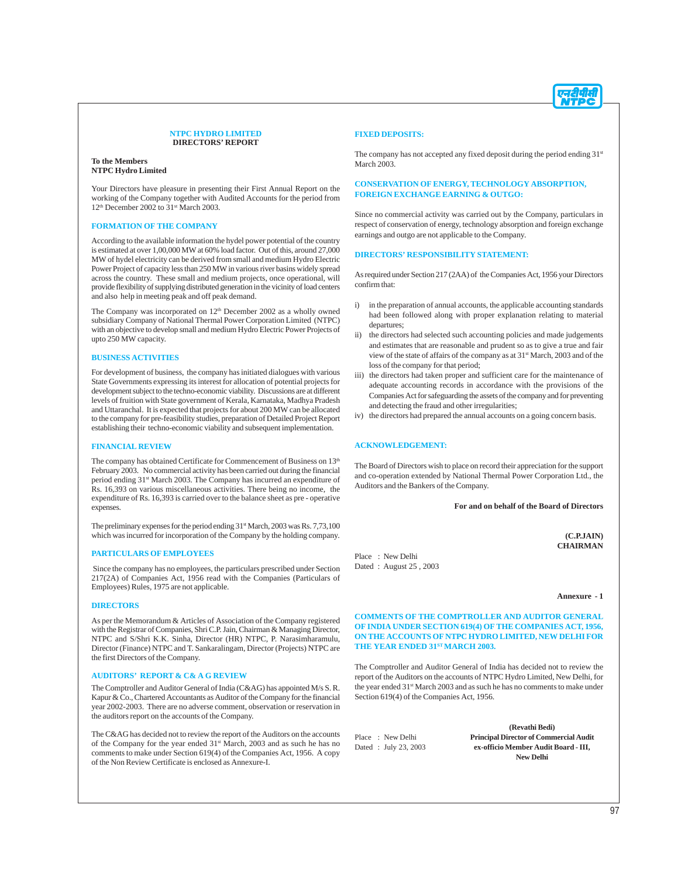

#### **NTPC HYDRO LIMITED DIRECTORS' REPORT**

**To the Members NTPC Hydro Limited**

Your Directors have pleasure in presenting their First Annual Report on the working of the Company together with Audited Accounts for the period from 12<sup>th</sup> December 2002 to 31<sup>st</sup> March 2003.

#### **FORMATION OF THE COMPANY**

According to the available information the hydel power potential of the country is estimated at over 1,00,000 MW at 60% load factor. Out of this, around 27,000 MW of hydel electricity can be derived from small and medium Hydro Electric Power Project of capacity less than 250 MW in various river basins widely spread across the country. These small and medium projects, once operational, will provide flexibility of supplying distributed generation in the vicinity of load centers and also help in meeting peak and off peak demand.

The Company was incorporated on 12<sup>th</sup> December 2002 as a wholly owned subsidiary Company of National Thermal Power Corporation Limited (NTPC) with an objective to develop small and medium Hydro Electric Power Projects of upto 250 MW capacity.

#### **BUSINESS ACTIVITIES**

For development of business, the company has initiated dialogues with various State Governments expressing its interest for allocation of potential projects for development subject to the techno-economic viability. Discussions are at different levels of fruition with State government of Kerala, Karnataka, Madhya Pradesh and Uttaranchal. It is expected that projects for about 200 MW can be allocated to the company for pre-feasibility studies, preparation of Detailed Project Report establishing their techno-economic viability and subsequent implementation.

#### **FINANCIAL REVIEW**

The company has obtained Certificate for Commencement of Business on 13<sup>th</sup> February 2003. No commercial activity has been carried out during the financial period ending 31<sup>st</sup> March 2003. The Company has incurred an expenditure of Rs. 16,393 on various miscellaneous activities. There being no income, the expenditure of Rs. 16,393 is carried over to the balance sheet as pre - operative expenses.

The preliminary expenses for the period ending  $31<sup>st</sup>$  March, 2003 was Rs. 7,73,100 which was incurred for incorporation of the Company by the holding company.

#### **PARTICULARS OF EMPLOYEES**

 Since the company has no employees, the particulars prescribed under Section 217(2A) of Companies Act, 1956 read with the Companies (Particulars of Employees) Rules, 1975 are not applicable.

#### **DIRECTORS**

As per the Memorandum & Articles of Association of the Company registered with the Registrar of Companies, Shri C.P. Jain, Chairman & Managing Director, NTPC and S/Shri K.K. Sinha, Director (HR) NTPC, P. Narasimharamulu, Director (Finance) NTPC and T. Sankaralingam, Director (Projects) NTPC are the first Directors of the Company.

#### **AUDITORS' REPORT & C& A G REVIEW**

The Comptroller and Auditor General of India (C&AG) has appointed M/s S. R. Kapur & Co., Chartered Accountants as Auditor of the Company for the financial year 2002-2003. There are no adverse comment, observation or reservation in the auditors report on the accounts of the Company.

The C&AG has decided not to review the report of the Auditors on the accounts of the Company for the year ended 31st March, 2003 and as such he has no comments to make under Section 619(4) of the Companies Act, 1956. A copy of the Non Review Certificate is enclosed as Annexure-I.

#### **FIXED DEPOSITS:**

The company has not accepted any fixed deposit during the period ending 31<sup>st</sup> March 2003.

#### **CONSERVATION OF ENERGY, TECHNOLOGY ABSORPTION, FOREIGN EXCHANGE EARNING & OUTGO:**

Since no commercial activity was carried out by the Company, particulars in respect of conservation of energy, technology absorption and foreign exchange earnings and outgo are not applicable to the Company.

#### **DIRECTORS' RESPONSIBILITY STATEMENT:**

As required under Section 217 (2AA) of the Companies Act, 1956 your Directors confirm that:

- i) in the preparation of annual accounts, the applicable accounting standards had been followed along with proper explanation relating to material departures;
- ii) the directors had selected such accounting policies and made judgements and estimates that are reasonable and prudent so as to give a true and fair view of the state of affairs of the company as at 31st March, 2003 and of the loss of the company for that period;
- iii) the directors had taken proper and sufficient care for the maintenance of adequate accounting records in accordance with the provisions of the Companies Act for safeguarding the assets of the company and for preventing and detecting the fraud and other irregularities;
- iv) the directors had prepared the annual accounts on a going concern basis.

#### **ACKNOWLEDGEMENT:**

Place : New Delhi Dated : August 25 , 2003

The Board of Directors wish to place on record their appreciation for the support and co-operation extended by National Thermal Power Corporation Ltd., the Auditors and the Bankers of the Company.

**For and on behalf of the Board of Directors**

**(C.P.JAIN) CHAIRMAN**

**Annexure - 1**

**COMMENTS OF THE COMPTROLLER AND AUDITOR GENERAL OF INDIA UNDER SECTION 619(4) OF THE COMPANIES ACT, 1956, ON THE ACCOUNTS OF NTPC HYDRO LIMITED, NEW DELHI FOR THE YEAR ENDED 31ST MARCH 2003.**

The Comptroller and Auditor General of India has decided not to review the report of the Auditors on the accounts of NTPC Hydro Limited, New Delhi, for the year ended 31<sup>st</sup> March 2003 and as such he has no comments to make under Section 619(4) of the Companies Act, 1956.

**(Revathi Bedi)** Place : New Delhi **Principal Director of Commercial Audit** Dated : July 23, 2003 **ex-officio Member Audit Board - III, New Delhi**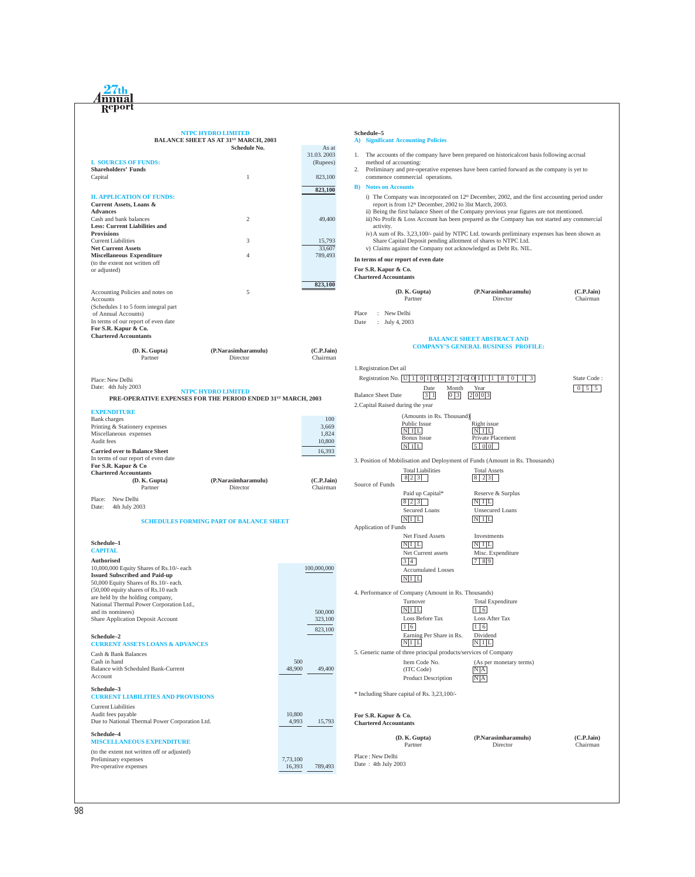# <u>Annual</u><br>Report

## **NTPC HYDRO LIMITED**

|                                                                              | <b>BALANCE SHEET AS AT 31ST MARCH, 2003</b>    |                        |                                                                                                 | <b>A)</b> Significant Accounting Policies                           |                                                                                                                                   |                   |
|------------------------------------------------------------------------------|------------------------------------------------|------------------------|-------------------------------------------------------------------------------------------------|---------------------------------------------------------------------|-----------------------------------------------------------------------------------------------------------------------------------|-------------------|
|                                                                              | <b>Schedule No.</b>                            | As at<br>31.03.2003    |                                                                                                 |                                                                     | 1. The accounts of the company have been prepared on historical cost basis following accrual                                      |                   |
| <b>I. SOURCES OF FUNDS:</b>                                                  |                                                | (Rupees)               | method of accounting:                                                                           |                                                                     |                                                                                                                                   |                   |
| <b>Shareholders' Funds</b>                                                   |                                                |                        | Preliminary and pre-operative expenses have been carried forward as the company is yet to<br>2. |                                                                     |                                                                                                                                   |                   |
| Capital                                                                      | $\mathbf{1}$                                   | 823,100                | commence commercial operations.                                                                 |                                                                     |                                                                                                                                   |                   |
|                                                                              |                                                | 823,100                | <b>B</b> ) Notes on Accounts                                                                    |                                                                     |                                                                                                                                   |                   |
| <b>II. APPLICATION OF FUNDS:</b>                                             |                                                |                        |                                                                                                 |                                                                     | i) The Company was incorporated on $12th$ December, 2002, and the first accounting period under                                   |                   |
| Current Assets, Loans &<br><b>Advances</b>                                   |                                                |                        |                                                                                                 | report is from 12 <sup>th</sup> December, 2002 to 3lst March, 2003. | ii) Being the first balance Sheet of the Company previous year figures are not mentioned.                                         |                   |
| Cash and bank balances                                                       | 2                                              | 49,400                 |                                                                                                 |                                                                     | iii) No Profit & Loss Account has been prepared as the Company has not started any commercial                                     |                   |
| <b>Less: Current Liabilities and</b>                                         |                                                |                        | activity.                                                                                       |                                                                     |                                                                                                                                   |                   |
| <b>Provisions</b>                                                            |                                                |                        |                                                                                                 |                                                                     | iv) A sum of Rs. 3,23,100/- paid by NTPC Ltd. towards preliminary expenses has been shown as                                      |                   |
| <b>Current Liabilities</b><br><b>Net Current Assets</b>                      | 3                                              | 15,793<br>33,607       |                                                                                                 |                                                                     | Share Capital Deposit pending allotment of shares to NTPC Ltd.<br>v) Claims against the Company not acknowledged as Debt Rs. NIL. |                   |
| <b>Miscellaneous Expenditure</b>                                             | $\overline{4}$                                 | 789,493                |                                                                                                 |                                                                     |                                                                                                                                   |                   |
| (to the extent not written off                                               |                                                |                        |                                                                                                 | In terms of our report of even date                                 |                                                                                                                                   |                   |
| or adjusted)                                                                 |                                                |                        | For S.R. Kapur & Co.<br><b>Chartered Accountants</b>                                            |                                                                     |                                                                                                                                   |                   |
|                                                                              |                                                | 823,100                |                                                                                                 |                                                                     |                                                                                                                                   |                   |
| Accounting Policies and notes on                                             | 5                                              |                        |                                                                                                 | (D. K. Gupta)                                                       | (P.Narasimharamulu)                                                                                                               | (C.P.Jain)        |
| Accounts                                                                     |                                                |                        |                                                                                                 | Partner                                                             | Director                                                                                                                          | Chairman          |
| (Schedules 1 to 5 form integral part<br>of Annual Accounts)                  |                                                |                        | Place<br>: New Delhi                                                                            |                                                                     |                                                                                                                                   |                   |
| In terms of our report of even date                                          |                                                |                        | Date<br>: July 4, 2003                                                                          |                                                                     |                                                                                                                                   |                   |
| For S.R. Kapur & Co.                                                         |                                                |                        |                                                                                                 |                                                                     |                                                                                                                                   |                   |
| <b>Chartered Accountants</b>                                                 |                                                |                        |                                                                                                 |                                                                     | <b>BALANCE SHEET ABSTRACT AND</b>                                                                                                 |                   |
| (D. K. Gupta)                                                                | (P.Narasimharamulu)                            | (C.P.Jain)             |                                                                                                 |                                                                     | <b>COMPANY'S GENERAL BUSINESS PROFILE:</b>                                                                                        |                   |
| Partner                                                                      | Director                                       | Chairman               |                                                                                                 |                                                                     |                                                                                                                                   |                   |
|                                                                              |                                                |                        | 1. Registration Det ail                                                                         |                                                                     |                                                                                                                                   |                   |
|                                                                              |                                                |                        |                                                                                                 |                                                                     | Registration No. [U   1   0   1   D   L   2   2   G   Q   1   1   8   0   1   3                                                   | State Code:       |
| Place: New Delhi<br>Date: 4th July 2003                                      |                                                |                        |                                                                                                 | Date                                                                | Year<br>Month                                                                                                                     | $0 \mid 5 \mid 5$ |
|                                                                              | NTPC HYDRO LIMITED                             |                        | <b>Balance Sheet Date</b>                                                                       | $\vert 3 \vert 1 \vert$                                             | 2 0 0 3<br> 0 3                                                                                                                   |                   |
| PRE-OPERATIVE EXPENSES FOR THE PERIOD ENDED 31ST MARCH, 2003                 |                                                |                        | 2. Capital Raised during the year                                                               |                                                                     |                                                                                                                                   |                   |
| <b>EXPENDITURE</b>                                                           |                                                |                        |                                                                                                 |                                                                     |                                                                                                                                   |                   |
| <b>Bank</b> charges                                                          |                                                | 100                    |                                                                                                 | (Amounts in Rs. Thousand)<br>Public Issue                           | Right issue                                                                                                                       |                   |
| Printing & Stationery expenses<br>Miscellaneous expenses                     |                                                | 3,669<br>1,824         |                                                                                                 | $N$ I L                                                             | $ N $ I L                                                                                                                         |                   |
| Audit fees                                                                   |                                                | 10,800                 |                                                                                                 | Bonus Issue                                                         | Private Placement                                                                                                                 |                   |
| <b>Carried over to Balance Sheet</b>                                         |                                                | 16,393                 |                                                                                                 | $N$ I L                                                             | $\vert 5 \vert 0 \vert 0 \vert$                                                                                                   |                   |
| In terms of our report of even date                                          |                                                |                        |                                                                                                 |                                                                     | 3. Position of Mobilisation and Deployment of Funds (Amount in Rs. Thousands)                                                     |                   |
| For S.R. Kapur & Co                                                          |                                                |                        |                                                                                                 | <b>Total Liabilities</b>                                            | <b>Total Assets</b>                                                                                                               |                   |
| <b>Chartered Accountants</b>                                                 |                                                |                        |                                                                                                 | 823                                                                 |                                                                                                                                   |                   |
| (D. K. Gupta)<br>Partner                                                     | (P.Narasimharamulu)<br>Director                | (C.P.Jain)<br>Chairman | Source of Funds                                                                                 |                                                                     |                                                                                                                                   |                   |
|                                                                              |                                                |                        |                                                                                                 | Paid up Capital*                                                    | Reserve & Surplus                                                                                                                 |                   |
| New Delhi<br>Place:<br>Date:<br>4th July 2003                                |                                                |                        |                                                                                                 | 8 2 3                                                               | N/I                                                                                                                               |                   |
|                                                                              |                                                |                        |                                                                                                 | Secured Loans                                                       | <b>Unsecured Loans</b>                                                                                                            |                   |
|                                                                              | <b>SCHEDULES FORMING PART OF BALANCE SHEET</b> |                        |                                                                                                 | $N$ $I$ $L$                                                         | $N$ I L                                                                                                                           |                   |
|                                                                              |                                                |                        | <b>Application of Funds</b>                                                                     | Net Fixed Assets                                                    | Investments                                                                                                                       |                   |
| Schedule-1                                                                   |                                                |                        |                                                                                                 | $N/I$ $L$                                                           | $N$ $I$ $L$                                                                                                                       |                   |
| <b>CAPITAL</b>                                                               |                                                |                        |                                                                                                 | Net Current assets                                                  | Misc. Expenditure                                                                                                                 |                   |
| Authorised                                                                   |                                                |                        |                                                                                                 | 3 4                                                                 | 789                                                                                                                               |                   |
| 10,000,000 Equity Shares of Rs.10/- each                                     |                                                | 100,000,000            |                                                                                                 | <b>Accumulated Losses</b>                                           |                                                                                                                                   |                   |
| <b>Issued Subscribed and Paid-up</b>                                         |                                                |                        |                                                                                                 | $N/I$ $L$                                                           |                                                                                                                                   |                   |
| 50,000 Equity Shares of Rs.10/- each.<br>(50,000 equity shares of Rs.10 each |                                                |                        |                                                                                                 |                                                                     |                                                                                                                                   |                   |
| are held by the holding company,                                             |                                                |                        |                                                                                                 | 4. Performance of Company (Amount in Rs. Thousands)<br>Turnover     |                                                                                                                                   |                   |
| National Thermal Power Corporation Ltd.,                                     |                                                |                        |                                                                                                 | $\overline{\text{NIL}}$                                             | <b>Total Expenditure</b><br>$\begin{vmatrix} 1 & 6 \end{vmatrix}$                                                                 |                   |
| and its nominees)<br>Share Application Deposit Account                       |                                                | 500,000<br>323,100     |                                                                                                 | Loss Before Tax                                                     | Loss After Tax                                                                                                                    |                   |
|                                                                              |                                                |                        |                                                                                                 | 1 6                                                                 | 1 6                                                                                                                               |                   |
| Schedule-2                                                                   |                                                | 823,100                |                                                                                                 | Earning Per Share in Rs.                                            | Dividend                                                                                                                          |                   |
| <b>CURRENT ASSETS LOANS &amp; ADVANCES</b>                                   |                                                |                        |                                                                                                 | $NI$ $L$                                                            | $N$ $I$ $L$                                                                                                                       |                   |
| Cash & Bank Balances                                                         |                                                |                        |                                                                                                 |                                                                     | 5. Generic name of three principal products/services of Company                                                                   |                   |
| Cash in hand                                                                 |                                                | 500                    |                                                                                                 | Item Code No.                                                       | (As per monetary terms)                                                                                                           |                   |
| <b>Balance with Scheduled Bank-Current</b>                                   |                                                | 48,900<br>49,400       |                                                                                                 | (ITC Code)                                                          | N A                                                                                                                               |                   |
| Account                                                                      |                                                |                        |                                                                                                 | Product Description                                                 | $N_A$                                                                                                                             |                   |
| Schedule-3                                                                   |                                                |                        |                                                                                                 |                                                                     |                                                                                                                                   |                   |
| <b>CURRENT LIABILITIES AND PROVISIONS</b>                                    |                                                |                        |                                                                                                 | * Including Share capital of Rs. 3,23,100/-                         |                                                                                                                                   |                   |
| <b>Current Liabilities</b>                                                   |                                                |                        |                                                                                                 |                                                                     |                                                                                                                                   |                   |
| Audit fees payable                                                           |                                                | 10,800                 | For S.R. Kapur & Co.                                                                            |                                                                     |                                                                                                                                   |                   |
| Due to National Thermal Power Corporation Ltd.                               |                                                | 4,993<br>15,793        | <b>Chartered Accountants</b>                                                                    |                                                                     |                                                                                                                                   |                   |
| Schedule–4                                                                   |                                                |                        |                                                                                                 | (D. K. Gupta)                                                       | (P.Narasimharamulu)                                                                                                               | (C.P.Jain)        |
| <b>MISCELLANEOUS EXPENDITURE</b>                                             |                                                |                        |                                                                                                 | Partner                                                             | Director                                                                                                                          | Chairman          |
| (to the extent not written off or adjusted)                                  |                                                |                        | Place: New Delhi                                                                                |                                                                     |                                                                                                                                   |                   |
| Preliminary expenses                                                         |                                                | 7,73,100               | Date: 4th July 2003                                                                             |                                                                     |                                                                                                                                   |                   |
| Pre-operative expenses                                                       |                                                | 16,393<br>789,493      |                                                                                                 |                                                                     |                                                                                                                                   |                   |
|                                                                              |                                                |                        |                                                                                                 |                                                                     |                                                                                                                                   |                   |

**Schedule–5**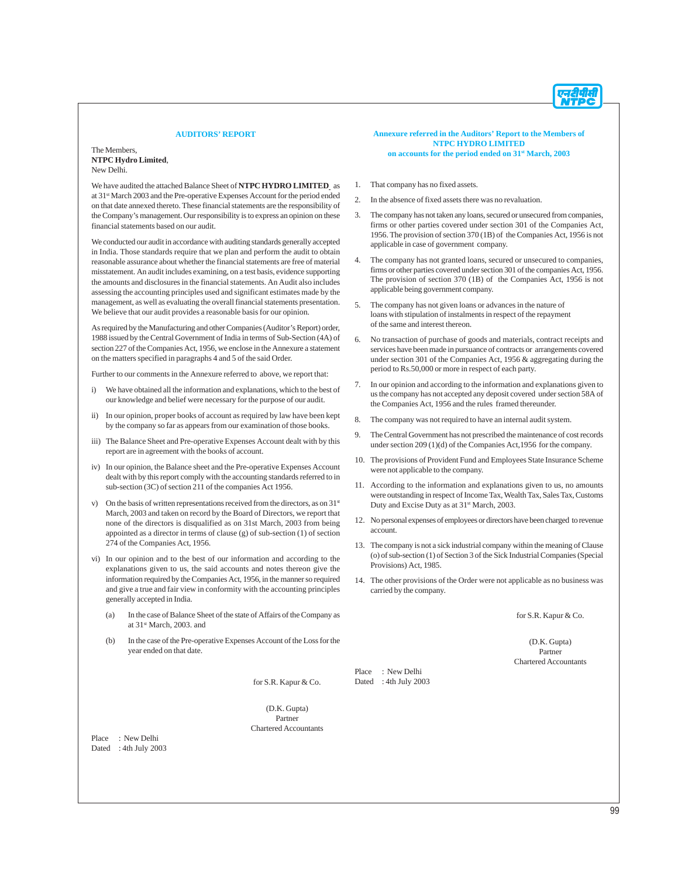#### **AUDITORS' REPORT**

The Members, **NTPC Hydro Limited**, New Delhi.

We have audited the attached Balance Sheet of **NTPC HYDRO LIMITED** as at 31st March 2003 and the Pre-operative Expenses Account for the period ended on that date annexed thereto. These financial statements are the responsibility of the Company's management. Our responsibility is to express an opinion on these financial statements based on our audit.

We conducted our audit in accordance with auditing standards generally accepted in India. Those standards require that we plan and perform the audit to obtain reasonable assurance about whether the financial statements are free of material misstatement. An audit includes examining, on a test basis, evidence supporting the amounts and disclosures in the financial statements. An Audit also includes assessing the accounting principles used and significant estimates made by the management, as well as evaluating the overall financial statements presentation. We believe that our audit provides a reasonable basis for our opinion.

As required by the Manufacturing and other Companies (Auditor's Report) order, 1988 issued by the Central Government of India in terms of Sub-Section (4A) of section 227 of the Companies Act, 1956, we enclose in the Annexure a statement on the matters specified in paragraphs 4 and 5 of the said Order.

Further to our comments in the Annexure referred to above, we report that:

- i) We have obtained all the information and explanations, which to the best of our knowledge and belief were necessary for the purpose of our audit.
- ii) In our opinion, proper books of account as required by law have been kept by the company so far as appears from our examination of those books.
- iii) The Balance Sheet and Pre-operative Expenses Account dealt with by this report are in agreement with the books of account.
- iv) In our opinion, the Balance sheet and the Pre-operative Expenses Account dealt with by this report comply with the accounting standards referred to in sub-section (3C) of section 211 of the companies Act 1956.
- v) On the basis of written representations received from the directors, as on  $31<sup>st</sup>$ March, 2003 and taken on record by the Board of Directors, we report that none of the directors is disqualified as on 31st March, 2003 from being appointed as a director in terms of clause (g) of sub-section (1) of section 274 of the Companies Act, 1956.
- vi) In our opinion and to the best of our information and according to the explanations given to us, the said accounts and notes thereon give the information required by the Companies Act, 1956, in the manner so required and give a true and fair view in conformity with the accounting principles generally accepted in India.
	- (a) In the case of Balance Sheet of the state of Affairs of the Company as at 31<sup>st</sup> March, 2003. and
	- (b) In the case of the Pre-operative Expenses Account of the Loss for the year ended on that date.

for S.R. Kapur & Co.

(D.K. Gupta) Partner Chartered Accountants

Place : New Delhi Dated : 4th July 2003

#### **Annexure referred in the Auditors' Report to the Members of NTPC HYDRO LIMITED on accounts for the period ended on 31st March, 2003**

- 1. That company has no fixed assets.
- 2. In the absence of fixed assets there was no revaluation.
- 3. The company has not taken any loans, secured or unsecured from companies, firms or other parties covered under section 301 of the Companies Act, 1956. The provision of section 370 (1B) of the Companies Act, 1956 is not applicable in case of government company.
- 4. The company has not granted loans, secured or unsecured to companies, firms or other parties covered under section 301 of the companies Act, 1956. The provision of section 370 (1B) of the Companies Act, 1956 is not applicable being government company.
- 5. The company has not given loans or advances in the nature of loans with stipulation of instalments in respect of the repayment of the same and interest thereon.
- 6. No transaction of purchase of goods and materials, contract receipts and services have been made in pursuance of contracts or arrangements covered under section 301 of the Companies Act, 1956 & aggregating during the period to Rs.50,000 or more in respect of each party.
- 7. In our opinion and according to the information and explanations given to us the company has not accepted any deposit covered under section 58A of the Companies Act, 1956 and the rules framed thereunder.
- 8. The company was not required to have an internal audit system.
- 9. The Central Government has not prescribed the maintenance of cost records under section 209 (1)(d) of the Companies Act,1956 for the company.
- 10. The provisions of Provident Fund and Employees State Insurance Scheme were not applicable to the company.
- 11. According to the information and explanations given to us, no amounts were outstanding in respect of Income Tax, Wealth Tax, Sales Tax, Customs Duty and Excise Duty as at 31<sup>st</sup> March, 2003.
- 12. No personal expenses of employees or directors have been charged to revenue account.
- 13. The company is not a sick industrial company within the meaning of Clause (o) of sub-section (1) of Section 3 of the Sick Industrial Companies (Special Provisions) Act, 1985.
- 14. The other provisions of the Order were not applicable as no business was carried by the company.

for S.R. Kapur & Co.

(D.K. Gupta) Partner Chartered Accountants

Place : New Delhi Dated : 4th July 2003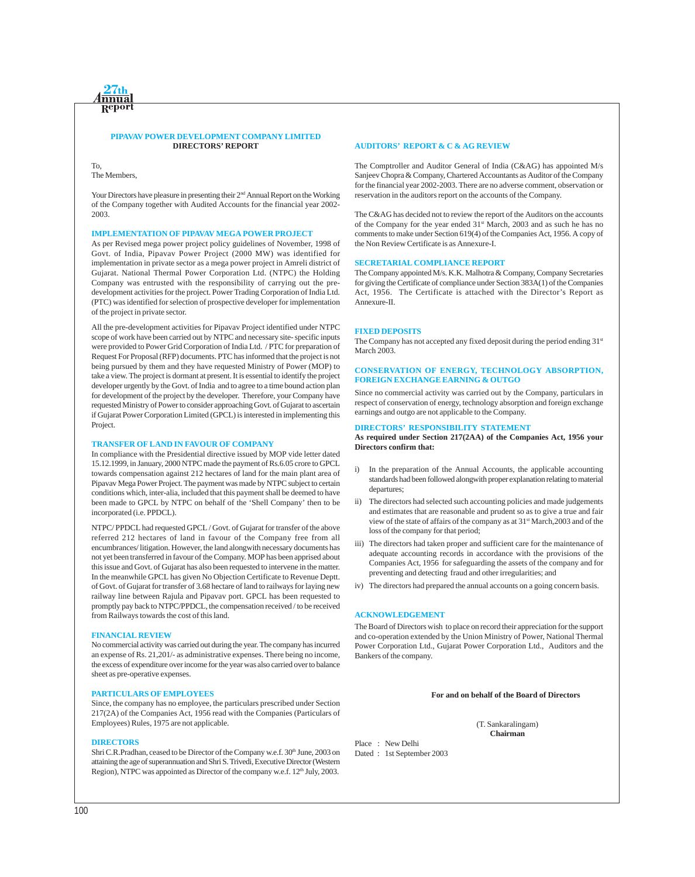#### **PIPAVAV POWER DEVELOPMENT COMPANY LIMITED DIRECTORS' REPORT**

To, The Members,

Your Directors have pleasure in presenting their 2<sup>nd</sup> Annual Report on the Working of the Company together with Audited Accounts for the financial year 2002- 2003.

#### **IMPLEMENTATION OF PIPAVAV MEGA POWER PROJECT**

As per Revised mega power project policy guidelines of November, 1998 of Govt. of India, Pipavav Power Project (2000 MW) was identified for implementation in private sector as a mega power project in Amreli district of Gujarat. National Thermal Power Corporation Ltd. (NTPC) the Holding Company was entrusted with the responsibility of carrying out the predevelopment activities for the project. Power Trading Corporation of India Ltd. (PTC) was identified for selection of prospective developer for implementation of the project in private sector.

All the pre-development activities for Pipavav Project identified under NTPC scope of work have been carried out by NTPC and necessary site- specific inputs were provided to Power Grid Corporation of India Ltd. / PTC for preparation of Request For Proposal (RFP) documents. PTC has informed that the project is not being pursued by them and they have requested Ministry of Power (MOP) to take a view. The project is dormant at present. It is essential to identify the project developer urgently by the Govt. of India and to agree to a time bound action plan for development of the project by the developer. Therefore, your Company have requested Ministry of Power to consider approaching Govt. of Gujarat to ascertain if Gujarat Power Corporation Limited (GPCL) is interested in implementing this Project.

#### **TRANSFER OF LAND IN FAVOUR OF COMPANY**

In compliance with the Presidential directive issued by MOP vide letter dated 15.12.1999, in January, 2000 NTPC made the payment of Rs.6.05 crore to GPCL towards compensation against 212 hectares of land for the main plant area of Pipavav Mega Power Project. The payment was made by NTPC subject to certain conditions which, inter-alia, included that this payment shall be deemed to have been made to GPCL by NTPC on behalf of the 'Shell Company' then to be incorporated (i.e. PPDCL).

NTPC/ PPDCL had requested GPCL / Govt. of Gujarat for transfer of the above referred 212 hectares of land in favour of the Company free from all encumbrances/ litigation. However, the land alongwith necessary documents has not yet been transferred in favour of the Company. MOP has been apprised about this issue and Govt. of Gujarat has also been requested to intervene in the matter. In the meanwhile GPCL has given No Objection Certificate to Revenue Deptt. of Govt. of Gujarat for transfer of 3.68 hectare of land to railways for laying new railway line between Rajula and Pipavav port. GPCL has been requested to promptly pay back to NTPC/PPDCL, the compensation received / to be received from Railways towards the cost of this land.

#### **FINANCIAL REVIEW**

No commercial activity was carried out during the year. The company has incurred an expense of Rs. 21,201/- as administrative expenses. There being no income, the excess of expenditure over income for the year was also carried over to balance sheet as pre-operative expenses.

#### **PARTICULARS OF EMPLOYEES**

Since, the company has no employee, the particulars prescribed under Section 217(2A) of the Companies Act, 1956 read with the Companies (Particulars of Employees) Rules, 1975 are not applicable.

#### **DIRECTORS**

Shri C.R.Pradhan, ceased to be Director of the Company w.e.f. 30<sup>th</sup> June, 2003 on attaining the age of superannuation and Shri S. Trivedi, Executive Director (Western Region), NTPC was appointed as Director of the company w.e.f. 12<sup>th</sup> July, 2003.

#### **AUDITORS' REPORT & C & AG REVIEW**

The Comptroller and Auditor General of India (C&AG) has appointed M/s Sanjeev Chopra & Company, Chartered Accountants as Auditor of the Company for the financial year 2002-2003. There are no adverse comment, observation or reservation in the auditors report on the accounts of the Company.

The C&AG has decided not to review the report of the Auditors on the accounts of the Company for the year ended 31<sup>st</sup> March, 2003 and as such he has no comments to make under Section 619(4) of the Companies Act, 1956. A copy of the Non Review Certificate is as Annexure-I.

#### **SECRETARIAL COMPLIANCE REPORT**

The Company appointed M/s. K.K. Malhotra & Company, Company Secretaries for giving the Certificate of compliance under Section 383A(1) of the Companies Act, 1956. The Certificate is attached with the Director's Report as Annexure-II.

#### **FIXED DEPOSITS**

The Company has not accepted any fixed deposit during the period ending  $31<sup>st</sup>$ March 2003.

#### **CONSERVATION OF ENERGY, TECHNOLOGY ABSORPTION, FOREIGN EXCHANGE EARNING & OUTGO**

Since no commercial activity was carried out by the Company, particulars in respect of conservation of energy, technology absorption and foreign exchange earnings and outgo are not applicable to the Company.

#### **DIRECTORS' RESPONSIBILITY STATEMENT**

**As required under Section 217(2AA) of the Companies Act, 1956 your Directors confirm that:**

- i) In the preparation of the Annual Accounts, the applicable accounting standards had been followed alongwith proper explanation relating to material departures;
- ii) The directors had selected such accounting policies and made judgements and estimates that are reasonable and prudent so as to give a true and fair view of the state of affairs of the company as at 31<sup>st</sup> March,2003 and of the loss of the company for that period;
- iii) The directors had taken proper and sufficient care for the maintenance of adequate accounting records in accordance with the provisions of the Companies Act, 1956 for safeguarding the assets of the company and for preventing and detecting fraud and other irregularities; and
- iv) The directors had prepared the annual accounts on a going concern basis.

#### **ACKNOWLEDGEMENT**

The Board of Directors wish to place on record their appreciation for the support and co-operation extended by the Union Ministry of Power, National Thermal Power Corporation Ltd., Gujarat Power Corporation Ltd., Auditors and the Bankers of the company.

#### **For and on behalf of the Board of Directors**

(T. Sankaralingam) **Chairman**

Dated : 1st September 2003

Place : New Delhi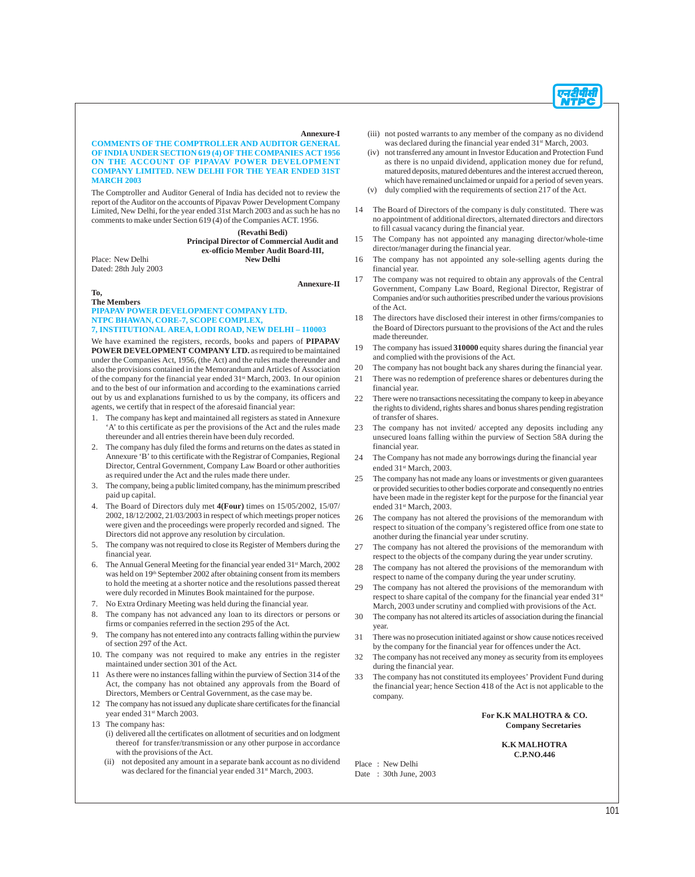

**COMMENTS OF THE COMPTROLLER AND AUDITOR GENERAL OF INDIA UNDER SECTION 619 (4) OF THE COMPANIES ACT 1956 ON THE ACCOUNT OF PIPAVAV POWER DEVELOPMENT COMPANY LIMITED. NEW DELHI FOR THE YEAR ENDED 31ST MARCH 2003**

The Comptroller and Auditor General of India has decided not to review the report of the Auditor on the accounts of Pipavav Power Development Company Limited, New Delhi, for the year ended 31st March 2003 and as such he has no comments to make under Section 619 (4) of the Companies ACT. 1956.

> **(Revathi Bedi) Principal Director of Commercial Audit and ex-officio Member Audit Board-III,**

Place: New Delhi Dated: 28th July 2003

**Annexure-II**

**Annexure-I**

**To,**

**The Members PIPAPAV POWER DEVELOPMENT COMPANY LTD. NTPC BHAWAN, CORE-7, SCOPE COMPLEX, 7, INSTITUTIONAL AREA, LODI ROAD, NEW DELHI – 110003**

We have examined the registers, records, books and papers of **PIPAPAV POWER DEVELOPMENT COMPANY LTD.** as required to be maintained under the Companies Act, 1956, (the Act) and the rules made thereunder and also the provisions contained in the Memorandum and Articles of Association of the company for the financial year ended 31<sup>st</sup> March, 2003. In our opinion and to the best of our information and according to the examinations carried out by us and explanations furnished to us by the company, its officers and agents, we certify that in respect of the aforesaid financial year:

- 1. The company has kept and maintained all registers as stated in Annexure 'A' to this certificate as per the provisions of the Act and the rules made thereunder and all entries therein have been duly recorded.
- 2. The company has duly filed the forms and returns on the dates as stated in Annexure 'B' to this certificate with the Registrar of Companies, Regional Director, Central Government, Company Law Board or other authorities as required under the Act and the rules made there under.
- 3. The company, being a public limited company, has the minimum prescribed paid up capital.
- 4. The Board of Directors duly met **4(Four)** times on 15/05/2002, 15/07/ 2002, 18/12/2002, 21/03/2003 in respect of which meetings proper notices were given and the proceedings were properly recorded and signed. The Directors did not approve any resolution by circulation.
- 5. The company was not required to close its Register of Members during the financial year.
- 6. The Annual General Meeting for the financial year ended  $31<sup>st</sup>$  March, 2002 was held on 19<sup>th</sup> September 2002 after obtaining consent from its members to hold the meeting at a shorter notice and the resolutions passed thereat were duly recorded in Minutes Book maintained for the purpose.
- 7. No Extra Ordinary Meeting was held during the financial year.
- 8. The company has not advanced any loan to its directors or persons or firms or companies referred in the section 295 of the Act.
- The company has not entered into any contracts falling within the purview of section 297 of the Act.
- 10. The company was not required to make any entries in the register maintained under section 301 of the Act.
- 11 As there were no instances falling within the purview of Section 314 of the Act, the company has not obtained any approvals from the Board of Directors, Members or Central Government, as the case may be.
- 12 The company has not issued any duplicate share certificates for the financial year ended  $31<sup>st</sup> March 2003$ .
- 13 The company has:
	- (i) delivered all the certificates on allotment of securities and on lodgment thereof for transfer/transmission or any other purpose in accordance with the provisions of the Act.
	- (ii) not deposited any amount in a separate bank account as no dividend was declared for the financial year ended 31<sup>st</sup> March, 2003.
- (iii) not posted warrants to any member of the company as no dividend was declared during the financial year ended  $31<sup>st</sup> March, 2003$ .
- (iv) not transferred any amount in Investor Education and Protection Fund as there is no unpaid dividend, application money due for refund, matured deposits, matured debentures and the interest accrued thereon, which have remained unclaimed or unpaid for a period of seven years.
- (v) duly complied with the requirements of section 217 of the Act.
- 14 The Board of Directors of the company is duly constituted. There was no appointment of additional directors, alternated directors and directors to fill casual vacancy during the financial year.
- 15 The Company has not appointed any managing director/whole-time director/manager during the financial year.
- 16 The company has not appointed any sole-selling agents during the financial year.
- 17 The company was not required to obtain any approvals of the Central Government, Company Law Board, Regional Director, Registrar of Companies and/or such authorities prescribed under the various provisions of the Act.
- 18 The directors have disclosed their interest in other firms/companies to the Board of Directors pursuant to the provisions of the Act and the rules made thereunder.
- 19 The company has issued **310000** equity shares during the financial year and complied with the provisions of the Act.
- 20 The company has not bought back any shares during the financial year.
- 21 There was no redemption of preference shares or debentures during the financial year.
- 22 There were no transactions necessitating the company to keep in abeyance the rights to dividend, rights shares and bonus shares pending registration of transfer of shares.
- 23 The company has not invited/ accepted any deposits including any unsecured loans falling within the purview of Section 58A during the financial year.
- 24 The Company has not made any borrowings during the financial year ended 31<sup>st</sup> March, 2003.
- 25 The company has not made any loans or investments or given guarantees or provided securities to other bodies corporate and consequently no entries have been made in the register kept for the purpose for the financial year ended 31<sup>st</sup> March, 2003.
- 26 The company has not altered the provisions of the memorandum with respect to situation of the company's registered office from one state to another during the financial year under scrutiny.
- 27 The company has not altered the provisions of the memorandum with respect to the objects of the company during the year under scrutiny.
- 28 The company has not altered the provisions of the memorandum with respect to name of the company during the year under scrutiny.
- 29 The company has not altered the provisions of the memorandum with respect to share capital of the company for the financial year ended 31<sup>st</sup> March, 2003 under scrutiny and complied with provisions of the Act.
- 30 The company has not altered its articles of association during the financial year.
- 31 There was no prosecution initiated against or show cause notices received by the company for the financial year for offences under the Act.
- 32 The company has not received any money as security from its employees during the financial year.
- 33 The company has not constituted its employees' Provident Fund during the financial year; hence Section 418 of the Act is not applicable to the company.

#### **For K.K MALHOTRA & CO. Company Secretaries**

**K.K MALHOTRA C.P.NO.446**

Place : New Delhi Date : 30th June, 2003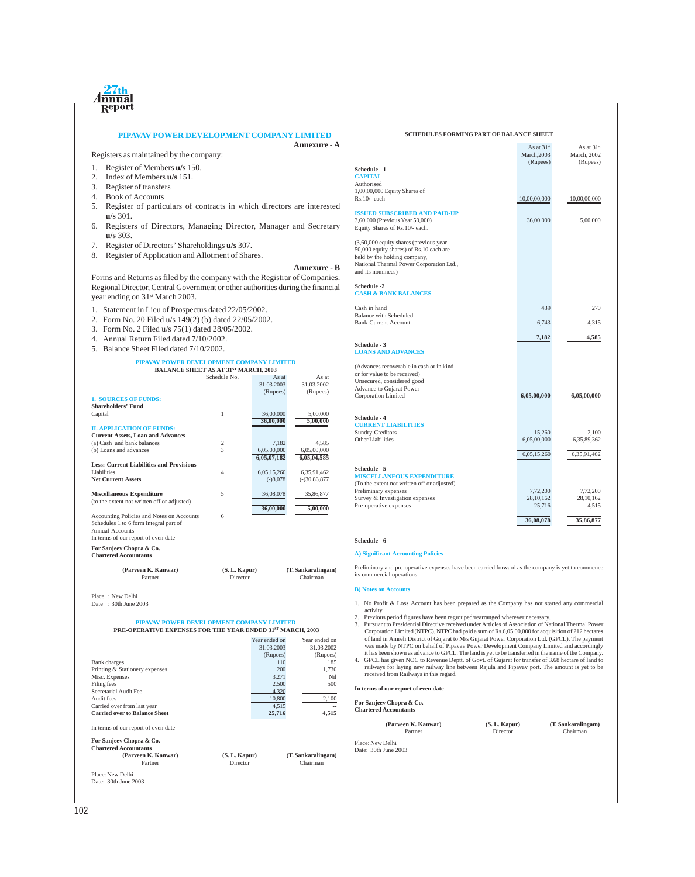## **PIPAVAV POWER DEVELOPMENT COMPANY LIMITED**

exters as maintained by the company:<br>

- 1. Register of Members **u/s** 150.
- 2. Index of Members **u/s** 151.
- 3. Register of transfers
- 4. Book of Accounts

 $27th$ <u>Innua</u> Repor

- 5. Register of particulars of contracts in which directors are interested **u/s** 301.
- 6. Registers of Directors, Managing Director, Manager and Secretary **u/s** 303.
- 7. Register of Directors' Shareholdings **u/s** 307.
- 8. Register of Application and Allotment of Shares.

#### **Annexure - B**

**Annexure - A**

Forms and Returns as filed by the company with the Registrar of Companies. Regional Director, Central Government or other authorities during the financial year ending on 31<sup>st</sup> March 2003.

- 1. Statement in Lieu of Prospectus dated 22/05/2002.
- 2. Form No. 20 Filed u/s 149(2) (b) dated 22/05/2002.
- 3. Form No. 2 Filed u/s 75(1) dated 28/05/2002.
- 4. Annual Return Filed dated 7/10/2002.
- 5. Balance Sheet Filed dated 7/10/2002.

## **PIPAVAV POWER DEVELOPMENT COMPANY LIMITED BALANCE SHEET AS AT 31ST MARCH, 2003**

|                                                 | <b>DALARCE SHEET AS AT 31 WARCH, 2003</b> |             |                |
|-------------------------------------------------|-------------------------------------------|-------------|----------------|
|                                                 | Schedule No.                              | As at       | As at          |
|                                                 |                                           | 31.03.2003  | 31.03.2002     |
|                                                 |                                           | (Rupees)    | (Rupees)       |
| <b>1. SOURCES OF FUNDS:</b>                     |                                           |             |                |
| <b>Shareholders' Fund</b>                       |                                           |             |                |
| Capital                                         | 1                                         | 36,00,000   | 5,00,000       |
|                                                 |                                           | 36,00,000   | 5,00,000       |
| <b>II. APPLICATION OF FUNDS:</b>                |                                           |             |                |
| <b>Current Assets, Loan and Advances</b>        |                                           |             |                |
| (a) Cash and bank balances                      | 2                                         | 7,182       | 4.585          |
| (b) Loans and advances                          | 3                                         | 6,05,00,000 | 6,05,00,000    |
|                                                 |                                           | 6,05,07,182 | 6,05,04,585    |
| <b>Less: Current Liabilities and Provisions</b> |                                           |             |                |
| Liabilities                                     | $\overline{4}$                            | 6,05,15,260 | 6,35,91,462    |
| <b>Net Current Assets</b>                       |                                           | $(-)8,078$  | $(-)30,86,877$ |
|                                                 |                                           |             |                |
| <b>Miscellaneous Expenditure</b>                | 5                                         | 36,08,078   | 35,86,877      |
| (to the extent not written off or adjusted)     |                                           |             |                |
|                                                 |                                           | 36,00,000   | 5,00,000       |
| Accounting Policies and Notes on Accounts       | 6                                         |             |                |
| Schedules 1 to 6 form integral part of          |                                           |             |                |
| Annual Accounts                                 |                                           |             |                |
| In terms of our report of even date             |                                           |             |                |
|                                                 |                                           |             |                |

**For Sanjeev Chopra & Co.**

**Chartered Accountants (Parveen K. Kanwar) (S. L. Kapur) (T. Sankaralingam)** Chairman

Place : New Delhi Date: 30th June 2003

## **PIPAVAV POWER DEVELOPMENT COMPANY LIMITED PRE-OPERATIVE EXPENSES FOR THE YEAR ENDED 31ST MARCH, 2003**

|                                      | Year ended on | Year ended on |
|--------------------------------------|---------------|---------------|
|                                      | 31.03.2003    | 31.03.2002    |
|                                      | (Rupees)      | (Rupees)      |
| <b>Bank</b> charges                  | 110           | 185           |
| Printing & Stationery expenses       | 200           | 1,730         |
| Misc. Expenses                       | 3,271         | Nil           |
| Filing fees                          | 2,500         | 500           |
| Secretarial Audit Fee                | 4.320         |               |
| Audit fees                           | 10,800        | 2,100         |
| Carried over from last year          | 4.515         |               |
| <b>Carried over to Balance Sheet</b> | 25,716        | 4,515         |
| In terms of our report of even date  |               |               |
|                                      |               |               |

#### **For Sanjeev Chopra & Co. Chartered Accountants**

| (Parveen K. Kanwar) | (S. L. Kapur) |
|---------------------|---------------|
| Partner             | Director      |
| Place: New Delhi    |               |

Date: 30th June 2003

|                                             | March, 2003  | March, 2002  |
|---------------------------------------------|--------------|--------------|
| <b>Schedule - 1</b>                         | (Rupees)     | (Rupees)     |
| <b>CAPITAL</b>                              |              |              |
| Authorised                                  |              |              |
| 1,00,00,000 Equity Shares of                |              |              |
| Rs.10/- each                                | 10,00,00,000 | 10,00,00,000 |
| <b>ISSUED SUBSCRIBED AND PAID-UP</b>        |              |              |
| 3,60,000 (Previous Year 50,000)             | 36,00,000    | 5,00,000     |
| Equity Shares of Rs.10/- each.              |              |              |
| (3,60,000 equity shares (previous year      |              |              |
| 50,000 equity shares) of Rs.10 each are     |              |              |
| held by the holding company,                |              |              |
| National Thermal Power Corporation Ltd.,    |              |              |
| and its nominees)                           |              |              |
| Schedule -2                                 |              |              |
| <b>CASH &amp; BANK BALANCES</b>             |              |              |
| Cash in hand                                | 439          | 270          |
| <b>Balance with Scheduled</b>               |              |              |
| <b>Bank-Current Account</b>                 | 6,743        | 4,315        |
|                                             |              |              |
|                                             | 7,182        | 4,585        |
| Schedule - 3<br><b>LOANS AND ADVANCES</b>   |              |              |
|                                             |              |              |
| (Advances recoverable in cash or in kind    |              |              |
| or for value to be received)                |              |              |
| Unsecured, considered good                  |              |              |
| <b>Advance to Gujarat Power</b>             |              |              |
| Corporation Limited                         | 6,05,00,000  | 6,05,00,000  |
|                                             |              |              |
| <b>Schedule - 4</b>                         |              |              |
| <b>CURRENT LIABILITIES</b>                  |              |              |
| <b>Sundry Creditors</b>                     | 15,260       | 2,100        |
| Other Liabilities                           | 6,05,00,000  | 6,35,89,362  |
|                                             | 6,05,15,260  | 6,35,91,462  |
| Schedule - 5                                |              |              |
| <b>MISCELLANEOUS EXPENDITURE</b>            |              |              |
| (To the extent not written off or adjusted) |              |              |
| Preliminary expenses                        | 7,72,200     | 7,72,200     |
| Survey & Investigation expenses             | 28, 10, 162  | 28, 10, 162  |
| Pre-operative expenses                      | 25,716       | 4,515        |
|                                             | 36,08,078    | 35,86,877    |
|                                             |              |              |

**SCHEDULES FORMING PART OF BALANCE SHEET**

As at  $31^{st}$  As at  $31^{st}$ <br>As at  $31^{st}$ <br>As at  $31^{st}$ 

#### **Schedule - 6**

#### **A) Significant Accounting Policies**

Preliminary and pre-operative expenses have been carried forward as the company is yet to commence its commercial operations.

#### **B)** Notes on Accounts

- 1. No Profit & Loss Account has been prepared as the Company has not started any commercial
- activity. 2. Previous period figures have been regrouped/rearranged wherever necessary.
- 3. Pursuant to Presidential Directive received under Articles of Association of National Thermal Power Corporation Limited (NTPC), NTPC had paid a sum of Rs.6,05,00,000 for acquisition of 212 hectares of land in Amreli District of Gujarat to M/s Gujarat Power Corporation Ltd. (GPCL). The payment<br>was made by NTPC on behalf of Pipavav Power Development Company Limited and accordingly<br>it has been shown as advance to GPCL.
- 4. GPCL has given NOC to Revenue Deptt. of Govt. of Gujarat for transfer of 3.68 hectare of land to railways for laying new railway line between Rajula and Pipavav port. The amount is yet to be received from Railways in this regard.

#### **In terms of our report of even date**

**For Sanjeev Chopra & Co. Chartered Accountants**

**(Parveen K. Kanwar) (S. L. Kapur) (T. Sankaralingam)**

Partner Director Chairman

Place: New Delhi Date: 30th June 2003

**(Parveen K. Kanwar) (S. L. Kapur) (T. Sankaralingam)** Chairman